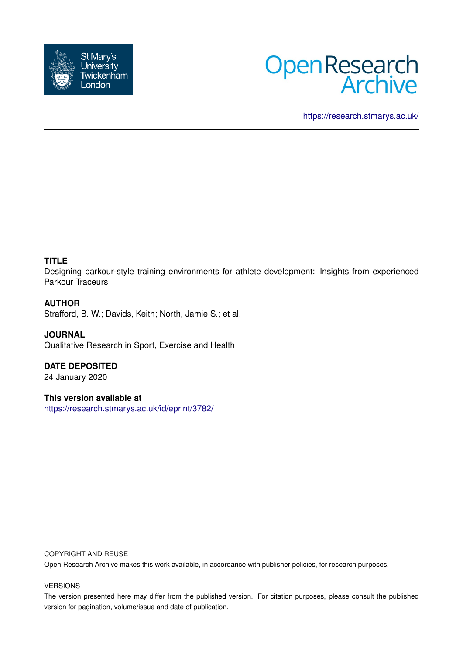



<https://research.stmarys.ac.uk/>

## **TITLE**

Designing parkour-style training environments for athlete development: Insights from experienced Parkour Traceurs

## **AUTHOR**

Strafford, B. W.; Davids, Keith; North, Jamie S.; et al.

**JOURNAL** Qualitative Research in Sport, Exercise and Health

**DATE DEPOSITED** 24 January 2020

**This version available at**

<https://research.stmarys.ac.uk/id/eprint/3782/>

#### COPYRIGHT AND REUSE

Open Research Archive makes this work available, in accordance with publisher policies, for research purposes.

#### VERSIONS

The version presented here may differ from the published version. For citation purposes, please consult the published version for pagination, volume/issue and date of publication.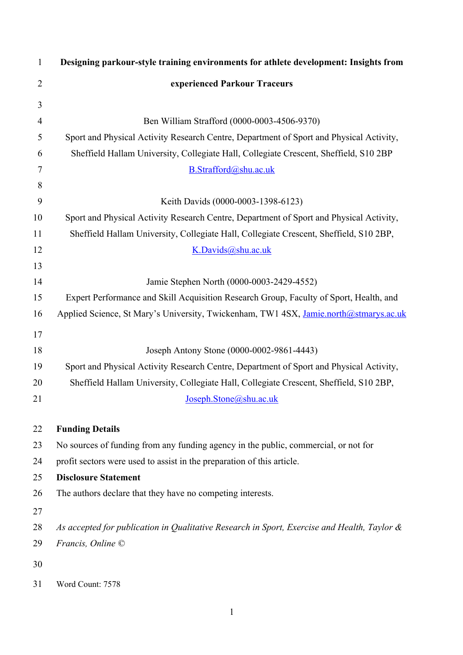| $\mathbf{1}$   | Designing parkour-style training environments for athlete development: Insights from        |
|----------------|---------------------------------------------------------------------------------------------|
| $\overline{2}$ | experienced Parkour Traceurs                                                                |
| 3              |                                                                                             |
| $\overline{4}$ | Ben William Strafford (0000-0003-4506-9370)                                                 |
| 5              | Sport and Physical Activity Research Centre, Department of Sport and Physical Activity,     |
| 6              | Sheffield Hallam University, Collegiate Hall, Collegiate Crescent, Sheffield, S10 2BP       |
| 7              | B.Strafford@shu.ac.uk                                                                       |
| 8              |                                                                                             |
| 9              | Keith Davids (0000-0003-1398-6123)                                                          |
| 10             | Sport and Physical Activity Research Centre, Department of Sport and Physical Activity,     |
| 11             | Sheffield Hallam University, Collegiate Hall, Collegiate Crescent, Sheffield, S10 2BP,      |
| 12             | K.Davids@shu.ac.uk                                                                          |
| 13             |                                                                                             |
| 14             | Jamie Stephen North (0000-0003-2429-4552)                                                   |
| 15             | Expert Performance and Skill Acquisition Research Group, Faculty of Sport, Health, and      |
| 16             | Applied Science, St Mary's University, Twickenham, TW1 4SX, Jamie.north@stmarys.ac.uk       |
| 17             |                                                                                             |
| 18             | Joseph Antony Stone (0000-0002-9861-4443)                                                   |
| 19             | Sport and Physical Activity Research Centre, Department of Sport and Physical Activity,     |
| 20             | Sheffield Hallam University, Collegiate Hall, Collegiate Crescent, Sheffield, S10 2BP,      |
| 21             | Joseph.Stone@shu.ac.uk                                                                      |
|                |                                                                                             |
| 22             | <b>Funding Details</b>                                                                      |
| 23             | No sources of funding from any funding agency in the public, commercial, or not for         |
| 24             | profit sectors were used to assist in the preparation of this article.                      |
| 25             | <b>Disclosure Statement</b>                                                                 |
| 26             | The authors declare that they have no competing interests.                                  |
| 27             |                                                                                             |
| 28             | As accepted for publication in Qualitative Research in Sport, Exercise and Health, Taylor & |
| 29             | Francis, Online ©                                                                           |
| 30             |                                                                                             |
| 31             | Word Count: 7578                                                                            |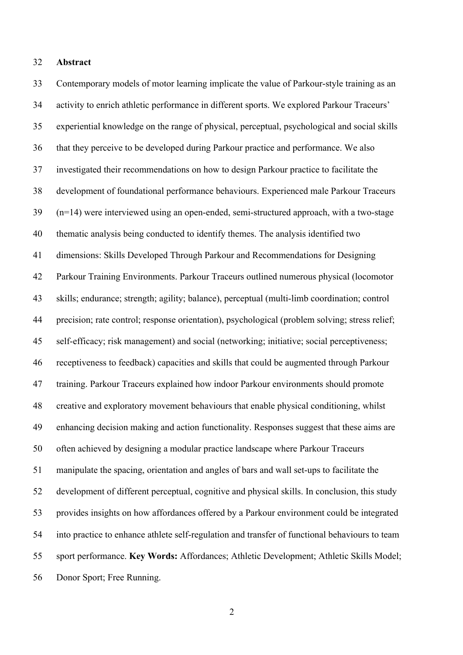### **Abstract**

 Contemporary models of motor learning implicate the value of Parkour-style training as an activity to enrich athletic performance in different sports. We explored Parkour Traceurs' experiential knowledge on the range of physical, perceptual, psychological and social skills that they perceive to be developed during Parkour practice and performance. We also investigated their recommendations on how to design Parkour practice to facilitate the development of foundational performance behaviours. Experienced male Parkour Traceurs (n=14) were interviewed using an open-ended, semi-structured approach, with a two-stage thematic analysis being conducted to identify themes. The analysis identified two dimensions: Skills Developed Through Parkour and Recommendations for Designing Parkour Training Environments. Parkour Traceurs outlined numerous physical (locomotor skills; endurance; strength; agility; balance), perceptual (multi-limb coordination; control precision; rate control; response orientation), psychological (problem solving; stress relief; self-efficacy; risk management) and social (networking; initiative; social perceptiveness; receptiveness to feedback) capacities and skills that could be augmented through Parkour training. Parkour Traceurs explained how indoor Parkour environments should promote creative and exploratory movement behaviours that enable physical conditioning, whilst enhancing decision making and action functionality. Responses suggest that these aims are often achieved by designing a modular practice landscape where Parkour Traceurs manipulate the spacing, orientation and angles of bars and wall set-ups to facilitate the development of different perceptual, cognitive and physical skills. In conclusion, this study provides insights on how affordances offered by a Parkour environment could be integrated into practice to enhance athlete self-regulation and transfer of functional behaviours to team sport performance. **Key Words:** Affordances; Athletic Development; Athletic Skills Model; Donor Sport; Free Running.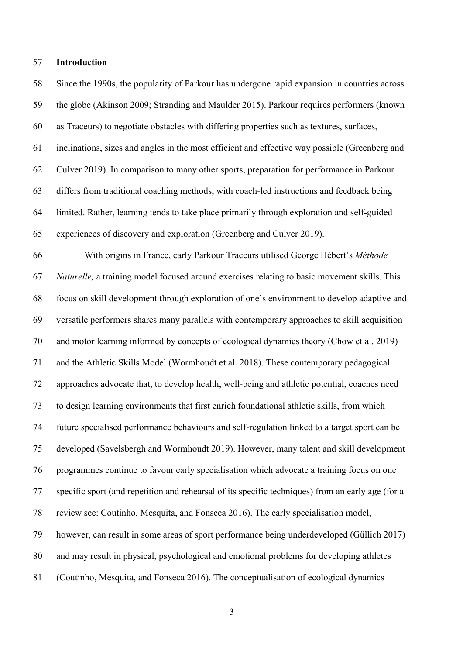#### **Introduction**

 Since the 1990s, the popularity of Parkour has undergone rapid expansion in countries across the globe (Akinson 2009; Stranding and Maulder 2015). Parkour requires performers (known as Traceurs) to negotiate obstacles with differing properties such as textures, surfaces, inclinations, sizes and angles in the most efficient and effective way possible (Greenberg and Culver 2019). In comparison to many other sports, preparation for performance in Parkour differs from traditional coaching methods, with coach-led instructions and feedback being limited. Rather, learning tends to take place primarily through exploration and self-guided experiences of discovery and exploration (Greenberg and Culver 2019). With origins in France, early Parkour Traceurs utilised George Hébert's *Méthode Naturelle,* a training model focused around exercises relating to basic movement skills. This focus on skill development through exploration of one's environment to develop adaptive and versatile performers shares many parallels with contemporary approaches to skill acquisition and motor learning informed by concepts of ecological dynamics theory (Chow et al. 2019) and the Athletic Skills Model (Wormhoudt et al. 2018). These contemporary pedagogical approaches advocate that, to develop health, well-being and athletic potential, coaches need to design learning environments that first enrich foundational athletic skills, from which future specialised performance behaviours and self-regulation linked to a target sport can be developed (Savelsbergh and Wormhoudt 2019). However, many talent and skill development

programmes continue to favour early specialisation which advocate a training focus on one

specific sport (and repetition and rehearsal of its specific techniques) from an early age (for a

review see: Coutinho, Mesquita, and Fonseca 2016). The early specialisation model,

however, can result in some areas of sport performance being underdeveloped (Güllich 2017)

and may result in physical, psychological and emotional problems for developing athletes

(Coutinho, Mesquita, and Fonseca 2016). The conceptualisation of ecological dynamics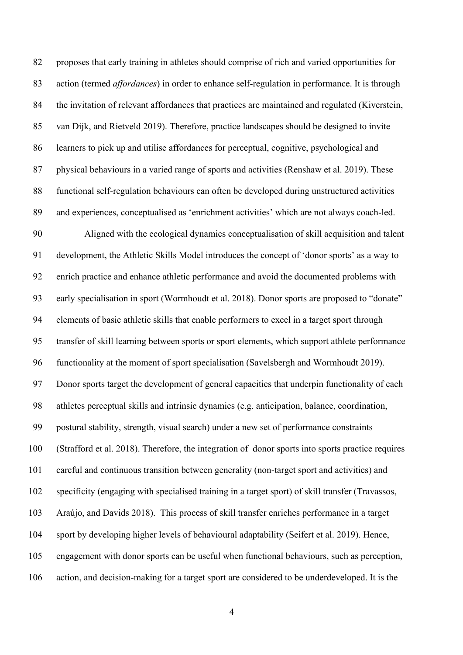proposes that early training in athletes should comprise of rich and varied opportunities for action (termed *affordances*) in order to enhance self-regulation in performance. It is through the invitation of relevant affordances that practices are maintained and regulated (Kiverstein, van Dijk, and Rietveld 2019). Therefore, practice landscapes should be designed to invite learners to pick up and utilise affordances for perceptual, cognitive, psychological and physical behaviours in a varied range of sports and activities (Renshaw et al. 2019). These functional self-regulation behaviours can often be developed during unstructured activities and experiences, conceptualised as 'enrichment activities' which are not always coach-led. Aligned with the ecological dynamics conceptualisation of skill acquisition and talent development, the Athletic Skills Model introduces the concept of 'donor sports' as a way to enrich practice and enhance athletic performance and avoid the documented problems with early specialisation in sport (Wormhoudt et al. 2018). Donor sports are proposed to "donate" elements of basic athletic skills that enable performers to excel in a target sport through transfer of skill learning between sports or sport elements, which support athlete performance functionality at the moment of sport specialisation (Savelsbergh and Wormhoudt 2019). Donor sports target the development of general capacities that underpin functionality of each athletes perceptual skills and intrinsic dynamics (e.g. anticipation, balance, coordination, postural stability, strength, visual search) under a new set of performance constraints (Strafford et al. 2018). Therefore, the integration of donor sports into sports practice requires careful and continuous transition between generality (non-target sport and activities) and specificity (engaging with specialised training in a target sport) of skill transfer (Travassos, Araújo, and Davids 2018). This process of skill transfer enriches performance in a target sport by developing higher levels of behavioural adaptability (Seifert et al. 2019). Hence, engagement with donor sports can be useful when functional behaviours, such as perception, action, and decision-making for a target sport are considered to be underdeveloped. It is the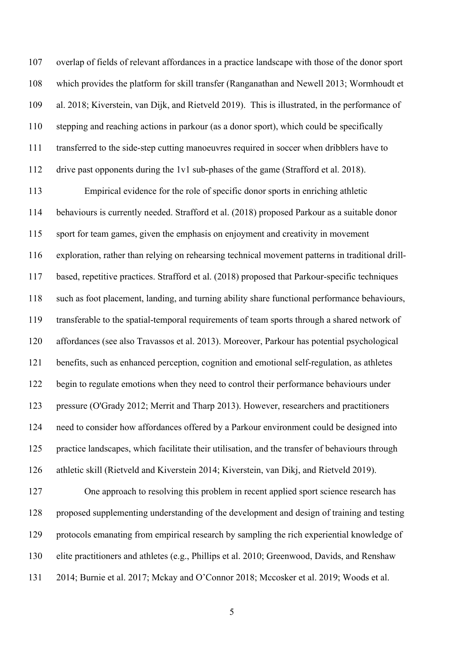overlap of fields of relevant affordances in a practice landscape with those of the donor sport which provides the platform for skill transfer (Ranganathan and Newell 2013; Wormhoudt et al. 2018; Kiverstein, van Dijk, and Rietveld 2019). This is illustrated, in the performance of stepping and reaching actions in parkour (as a donor sport), which could be specifically transferred to the side-step cutting manoeuvres required in soccer when dribblers have to drive past opponents during the 1v1 sub-phases of the game (Strafford et al. 2018).

 Empirical evidence for the role of specific donor sports in enriching athletic behaviours is currently needed. Strafford et al. (2018) proposed Parkour as a suitable donor sport for team games, given the emphasis on enjoyment and creativity in movement exploration, rather than relying on rehearsing technical movement patterns in traditional drill- based, repetitive practices. Strafford et al. (2018) proposed that Parkour-specific techniques such as foot placement, landing, and turning ability share functional performance behaviours, transferable to the spatial-temporal requirements of team sports through a shared network of affordances (see also Travassos et al. 2013). Moreover, Parkour has potential psychological benefits, such as enhanced perception, cognition and emotional self-regulation, as athletes begin to regulate emotions when they need to control their performance behaviours under pressure (O'Grady 2012; Merrit and Tharp 2013). However, researchers and practitioners need to consider how affordances offered by a Parkour environment could be designed into practice landscapes, which facilitate their utilisation, and the transfer of behaviours through athletic skill (Rietveld and Kiverstein 2014; Kiverstein, van Dikj, and Rietveld 2019). One approach to resolving this problem in recent applied sport science research has

 proposed supplementing understanding of the development and design of training and testing protocols emanating from empirical research by sampling the rich experiential knowledge of elite practitioners and athletes (e.g., Phillips et al. 2010; Greenwood, Davids, and Renshaw 2014; Burnie et al. 2017; Mckay and O'Connor 2018; Mccosker et al. 2019; Woods et al.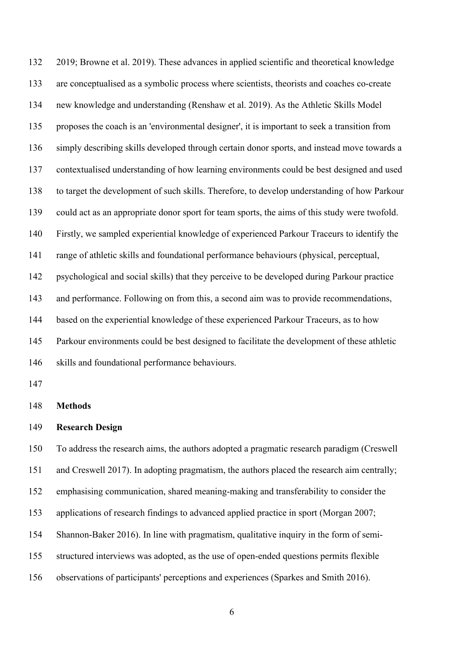2019; Browne et al. 2019). These advances in applied scientific and theoretical knowledge are conceptualised as a symbolic process where scientists, theorists and coaches co-create new knowledge and understanding (Renshaw et al. 2019). As the Athletic Skills Model proposes the coach is an 'environmental designer', it is important to seek a transition from simply describing skills developed through certain donor sports, and instead move towards a contextualised understanding of how learning environments could be best designed and used to target the development of such skills. Therefore, to develop understanding of how Parkour could act as an appropriate donor sport for team sports, the aims of this study were twofold. Firstly, we sampled experiential knowledge of experienced Parkour Traceurs to identify the range of athletic skills and foundational performance behaviours (physical, perceptual, psychological and social skills) that they perceive to be developed during Parkour practice and performance. Following on from this, a second aim was to provide recommendations, based on the experiential knowledge of these experienced Parkour Traceurs, as to how Parkour environments could be best designed to facilitate the development of these athletic skills and foundational performance behaviours.

## **Methods**

#### **Research Design**

 To address the research aims, the authors adopted a pragmatic research paradigm (Creswell and Creswell 2017). In adopting pragmatism, the authors placed the research aim centrally; emphasising communication, shared meaning-making and transferability to consider the applications of research findings to advanced applied practice in sport (Morgan 2007; Shannon-Baker 2016). In line with pragmatism, qualitative inquiry in the form of semi- structured interviews was adopted, as the use of open-ended questions permits flexible observations of participants' perceptions and experiences (Sparkes and Smith 2016).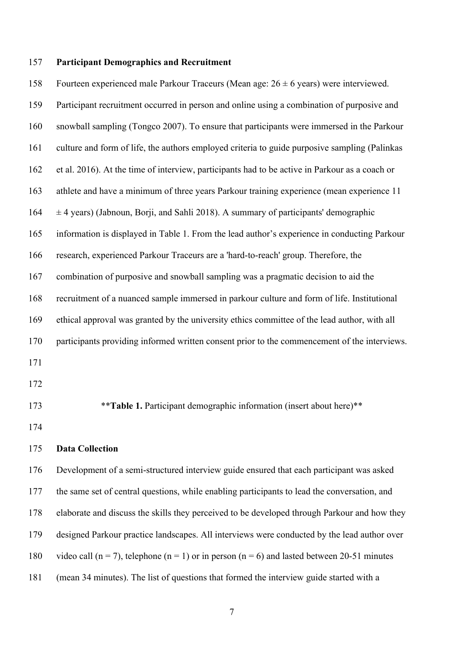# **Participant Demographics and Recruitment**

| 158 | Fourteen experienced male Parkour Traceurs (Mean age: $26 \pm 6$ years) were interviewed.               |
|-----|---------------------------------------------------------------------------------------------------------|
| 159 | Participant recruitment occurred in person and online using a combination of purposive and              |
| 160 | snowball sampling (Tongco 2007). To ensure that participants were immersed in the Parkour               |
| 161 | culture and form of life, the authors employed criteria to guide purposive sampling (Palinkas           |
| 162 | et al. 2016). At the time of interview, participants had to be active in Parkour as a coach or          |
| 163 | athlete and have a minimum of three years Parkour training experience (mean experience 11               |
| 164 | $\pm$ 4 years) (Jabnoun, Borji, and Sahli 2018). A summary of participants' demographic                 |
| 165 | information is displayed in Table 1. From the lead author's experience in conducting Parkour            |
| 166 | research, experienced Parkour Traceurs are a 'hard-to-reach' group. Therefore, the                      |
| 167 | combination of purposive and snowball sampling was a pragmatic decision to aid the                      |
| 168 | recruitment of a nuanced sample immersed in parkour culture and form of life. Institutional             |
| 169 | ethical approval was granted by the university ethics committee of the lead author, with all            |
| 170 | participants providing informed written consent prior to the commencement of the interviews.            |
| 171 |                                                                                                         |
| 172 |                                                                                                         |
| 173 | **Table 1. Participant demographic information (insert about here)**                                    |
| 174 |                                                                                                         |
| 175 | <b>Data Collection</b>                                                                                  |
| 176 | Development of a semi-structured interview guide ensured that each participant was asked                |
| 177 | the same set of central questions, while enabling participants to lead the conversation, and            |
| 178 | elaborate and discuss the skills they perceived to be developed through Parkour and how they            |
| 179 | designed Parkour practice landscapes. All interviews were conducted by the lead author over             |
| 180 | video call ( $n = 7$ ), telephone ( $n = 1$ ) or in person ( $n = 6$ ) and lasted between 20-51 minutes |
| 181 | (mean 34 minutes). The list of questions that formed the interview guide started with a                 |
|     |                                                                                                         |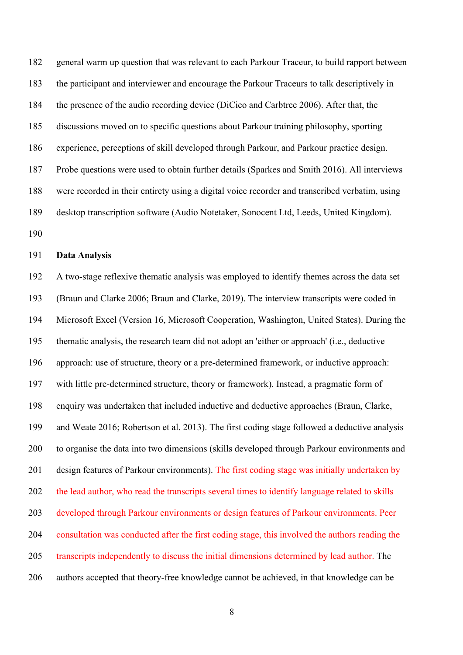general warm up question that was relevant to each Parkour Traceur, to build rapport between the participant and interviewer and encourage the Parkour Traceurs to talk descriptively in the presence of the audio recording device (DiCico and Carbtree 2006). After that, the discussions moved on to specific questions about Parkour training philosophy, sporting experience, perceptions of skill developed through Parkour, and Parkour practice design. Probe questions were used to obtain further details (Sparkes and Smith 2016). All interviews were recorded in their entirety using a digital voice recorder and transcribed verbatim, using desktop transcription software (Audio Notetaker, Sonocent Ltd, Leeds, United Kingdom). 

**Data Analysis** 

 A two-stage reflexive thematic analysis was employed to identify themes across the data set (Braun and Clarke 2006; Braun and Clarke, 2019). The interview transcripts were coded in Microsoft Excel (Version 16, Microsoft Cooperation, Washington, United States). During the thematic analysis, the research team did not adopt an 'either or approach' (i.e., deductive approach: use of structure, theory or a pre-determined framework, or inductive approach: with little pre-determined structure, theory or framework). Instead, a pragmatic form of enquiry was undertaken that included inductive and deductive approaches (Braun, Clarke, and Weate 2016; Robertson et al. 2013). The first coding stage followed a deductive analysis to organise the data into two dimensions (skills developed through Parkour environments and design features of Parkour environments). The first coding stage was initially undertaken by 202 the lead author, who read the transcripts several times to identify language related to skills developed through Parkour environments or design features of Parkour environments. Peer consultation was conducted after the first coding stage, this involved the authors reading the transcripts independently to discuss the initial dimensions determined by lead author. The authors accepted that theory-free knowledge cannot be achieved, in that knowledge can be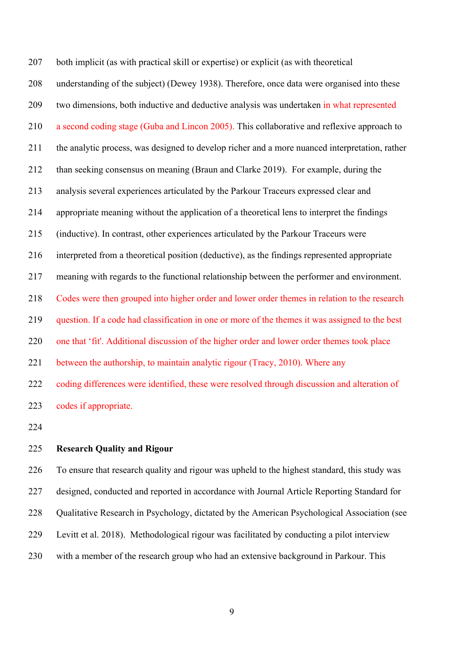both implicit (as with practical skill or expertise) or explicit (as with theoretical understanding of the subject) (Dewey 1938). Therefore, once data were organised into these two dimensions, both inductive and deductive analysis was undertaken in what represented 210 a second coding stage (Guba and Lincon 2005). This collaborative and reflexive approach to the analytic process, was designed to develop richer and a more nuanced interpretation, rather than seeking consensus on meaning (Braun and Clarke 2019). For example, during the analysis several experiences articulated by the Parkour Traceurs expressed clear and appropriate meaning without the application of a theoretical lens to interpret the findings (inductive). In contrast, other experiences articulated by the Parkour Traceurs were interpreted from a theoretical position (deductive), as the findings represented appropriate meaning with regards to the functional relationship between the performer and environment. Codes were then grouped into higher order and lower order themes in relation to the research question. If a code had classification in one or more of the themes it was assigned to the best one that 'fit'. Additional discussion of the higher order and lower order themes took place between the authorship, to maintain analytic rigour (Tracy, 2010). Where any coding differences were identified, these were resolved through discussion and alteration of codes if appropriate.

## **Research Quality and Rigour**

 To ensure that research quality and rigour was upheld to the highest standard, this study was designed, conducted and reported in accordance with Journal Article Reporting Standard for Qualitative Research in Psychology, dictated by the American Psychological Association (see Levitt et al. 2018). Methodological rigour was facilitated by conducting a pilot interview with a member of the research group who had an extensive background in Parkour. This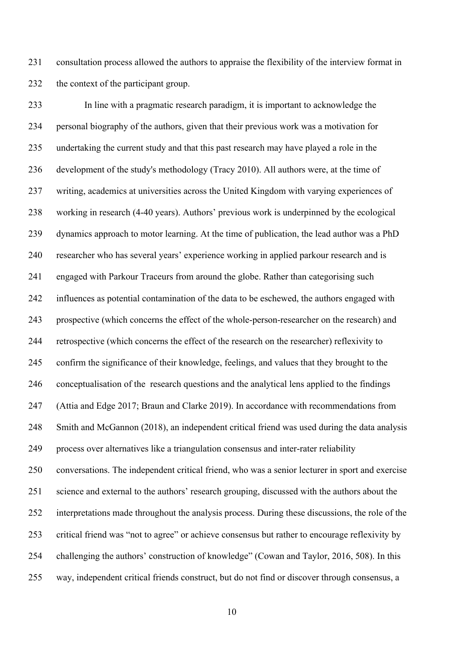consultation process allowed the authors to appraise the flexibility of the interview format in the context of the participant group.

 In line with a pragmatic research paradigm, it is important to acknowledge the personal biography of the authors, given that their previous work was a motivation for undertaking the current study and that this past research may have played a role in the development of the study's methodology (Tracy 2010). All authors were, at the time of writing, academics at universities across the United Kingdom with varying experiences of working in research (4-40 years). Authors' previous work is underpinned by the ecological dynamics approach to motor learning. At the time of publication, the lead author was a PhD researcher who has several years' experience working in applied parkour research and is engaged with Parkour Traceurs from around the globe. Rather than categorising such influences as potential contamination of the data to be eschewed, the authors engaged with prospective (which concerns the effect of the whole-person-researcher on the research) and retrospective (which concerns the effect of the research on the researcher) reflexivity to confirm the significance of their knowledge, feelings, and values that they brought to the conceptualisation of the research questions and the analytical lens applied to the findings (Attia and Edge 2017; Braun and Clarke 2019). In accordance with recommendations from Smith and McGannon (2018), an independent critical friend was used during the data analysis process over alternatives like a triangulation consensus and inter-rater reliability conversations. The independent critical friend, who was a senior lecturer in sport and exercise science and external to the authors' research grouping, discussed with the authors about the interpretations made throughout the analysis process. During these discussions, the role of the critical friend was "not to agree" or achieve consensus but rather to encourage reflexivity by challenging the authors' construction of knowledge" (Cowan and Taylor, 2016, 508). In this way, independent critical friends construct, but do not find or discover through consensus, a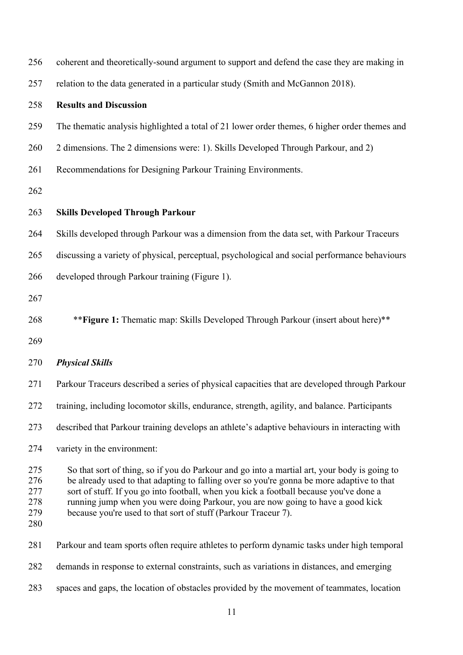| 256                                    | coherent and theoretically-sound argument to support and defend the case they are making in                                                                                                                                                                                                                                                                                                                                              |  |  |  |
|----------------------------------------|------------------------------------------------------------------------------------------------------------------------------------------------------------------------------------------------------------------------------------------------------------------------------------------------------------------------------------------------------------------------------------------------------------------------------------------|--|--|--|
| 257                                    | relation to the data generated in a particular study (Smith and McGannon 2018).                                                                                                                                                                                                                                                                                                                                                          |  |  |  |
| 258                                    | <b>Results and Discussion</b>                                                                                                                                                                                                                                                                                                                                                                                                            |  |  |  |
| 259                                    | The thematic analysis highlighted a total of 21 lower order themes, 6 higher order themes and                                                                                                                                                                                                                                                                                                                                            |  |  |  |
| 260                                    | 2 dimensions. The 2 dimensions were: 1). Skills Developed Through Parkour, and 2)                                                                                                                                                                                                                                                                                                                                                        |  |  |  |
| 261                                    | Recommendations for Designing Parkour Training Environments.                                                                                                                                                                                                                                                                                                                                                                             |  |  |  |
| 262                                    |                                                                                                                                                                                                                                                                                                                                                                                                                                          |  |  |  |
| 263                                    | <b>Skills Developed Through Parkour</b>                                                                                                                                                                                                                                                                                                                                                                                                  |  |  |  |
| 264                                    | Skills developed through Parkour was a dimension from the data set, with Parkour Traceurs                                                                                                                                                                                                                                                                                                                                                |  |  |  |
| 265                                    | discussing a variety of physical, perceptual, psychological and social performance behaviours                                                                                                                                                                                                                                                                                                                                            |  |  |  |
| 266                                    | developed through Parkour training (Figure 1).                                                                                                                                                                                                                                                                                                                                                                                           |  |  |  |
| 267                                    |                                                                                                                                                                                                                                                                                                                                                                                                                                          |  |  |  |
| 268                                    | ** Figure 1: Thematic map: Skills Developed Through Parkour (insert about here)**                                                                                                                                                                                                                                                                                                                                                        |  |  |  |
|                                        |                                                                                                                                                                                                                                                                                                                                                                                                                                          |  |  |  |
| 269                                    |                                                                                                                                                                                                                                                                                                                                                                                                                                          |  |  |  |
| 270                                    | <b>Physical Skills</b>                                                                                                                                                                                                                                                                                                                                                                                                                   |  |  |  |
| 271                                    | Parkour Traceurs described a series of physical capacities that are developed through Parkour                                                                                                                                                                                                                                                                                                                                            |  |  |  |
| 272                                    | training, including locomotor skills, endurance, strength, agility, and balance. Participants                                                                                                                                                                                                                                                                                                                                            |  |  |  |
| 273                                    | described that Parkour training develops an athlete's adaptive behaviours in interacting with                                                                                                                                                                                                                                                                                                                                            |  |  |  |
| 274                                    | variety in the environment:                                                                                                                                                                                                                                                                                                                                                                                                              |  |  |  |
| 275<br>276<br>277<br>278<br>279<br>280 | So that sort of thing, so if you do Parkour and go into a martial art, your body is going to<br>be already used to that adapting to falling over so you're gonna be more adaptive to that<br>sort of stuff. If you go into football, when you kick a football because you've done a<br>running jump when you were doing Parkour, you are now going to have a good kick<br>because you're used to that sort of stuff (Parkour Traceur 7). |  |  |  |
| 281                                    | Parkour and team sports often require athletes to perform dynamic tasks under high temporal                                                                                                                                                                                                                                                                                                                                              |  |  |  |
| 282                                    | demands in response to external constraints, such as variations in distances, and emerging                                                                                                                                                                                                                                                                                                                                               |  |  |  |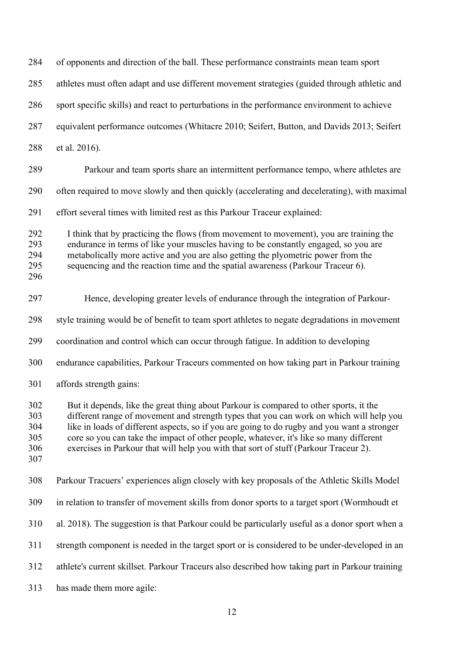| 284                                    | of opponents and direction of the ball. These performance constraints mean team sport                                                                                                                                                                                                                                                                                                                                                                              |
|----------------------------------------|--------------------------------------------------------------------------------------------------------------------------------------------------------------------------------------------------------------------------------------------------------------------------------------------------------------------------------------------------------------------------------------------------------------------------------------------------------------------|
| 285                                    | athletes must often adapt and use different movement strategies (guided through athletic and                                                                                                                                                                                                                                                                                                                                                                       |
| 286                                    | sport specific skills) and react to perturbations in the performance environment to achieve                                                                                                                                                                                                                                                                                                                                                                        |
| 287                                    | equivalent performance outcomes (Whitacre 2010; Seifert, Button, and Davids 2013; Seifert                                                                                                                                                                                                                                                                                                                                                                          |
| 288                                    | et al. 2016).                                                                                                                                                                                                                                                                                                                                                                                                                                                      |
| 289                                    | Parkour and team sports share an intermittent performance tempo, where athletes are                                                                                                                                                                                                                                                                                                                                                                                |
| 290                                    | often required to move slowly and then quickly (accelerating and decelerating), with maximal                                                                                                                                                                                                                                                                                                                                                                       |
| 291                                    | effort several times with limited rest as this Parkour Traceur explained:                                                                                                                                                                                                                                                                                                                                                                                          |
| 292<br>293<br>294<br>295<br>296        | I think that by practicing the flows (from movement to movement), you are training the<br>endurance in terms of like your muscles having to be constantly engaged, so you are<br>metabolically more active and you are also getting the plyometric power from the<br>sequencing and the reaction time and the spatial awareness (Parkour Traceur 6).                                                                                                               |
| 297                                    | Hence, developing greater levels of endurance through the integration of Parkour-                                                                                                                                                                                                                                                                                                                                                                                  |
| 298                                    | style training would be of benefit to team sport athletes to negate degradations in movement                                                                                                                                                                                                                                                                                                                                                                       |
| 299                                    | coordination and control which can occur through fatigue. In addition to developing                                                                                                                                                                                                                                                                                                                                                                                |
| 300                                    | endurance capabilities, Parkour Traceurs commented on how taking part in Parkour training                                                                                                                                                                                                                                                                                                                                                                          |
| 301                                    | affords strength gains:                                                                                                                                                                                                                                                                                                                                                                                                                                            |
| 302<br>303<br>304<br>305<br>306<br>307 | But it depends, like the great thing about Parkour is compared to other sports, it the<br>different range of movement and strength types that you can work on which will help you<br>like in loads of different aspects, so if you are going to do rugby and you want a stronger<br>core so you can take the impact of other people, whatever, it's like so many different<br>exercises in Parkour that will help you with that sort of stuff (Parkour Traceur 2). |
| 308                                    | Parkour Tracuers' experiences align closely with key proposals of the Athletic Skills Model                                                                                                                                                                                                                                                                                                                                                                        |
| 309                                    | in relation to transfer of movement skills from donor sports to a target sport (Wormhoudt et                                                                                                                                                                                                                                                                                                                                                                       |
| 310                                    | al. 2018). The suggestion is that Parkour could be particularly useful as a donor sport when a                                                                                                                                                                                                                                                                                                                                                                     |
| 311                                    | strength component is needed in the target sport or is considered to be under-developed in an                                                                                                                                                                                                                                                                                                                                                                      |
| 312                                    | athlete's current skillset. Parkour Traceurs also described how taking part in Parkour training                                                                                                                                                                                                                                                                                                                                                                    |
| 313                                    | has made them more agile:                                                                                                                                                                                                                                                                                                                                                                                                                                          |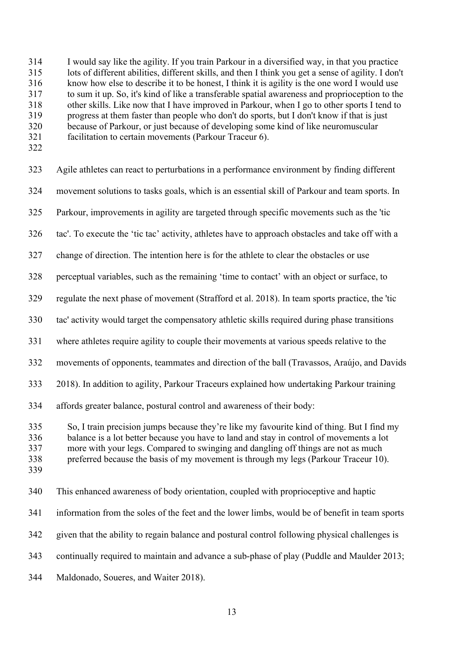I would say like the agility. If you train Parkour in a diversified way, in that you practice lots of different abilities, different skills, and then I think you get a sense of agility. I don't know how else to describe it to be honest, I think it is agility is the one word I would use to sum it up. So, it's kind of like a transferable spatial awareness and proprioception to the other skills. Like now that I have improved in Parkour, when I go to other sports I tend to progress at them faster than people who don't do sports, but I don't know if that is just because of Parkour, or just because of developing some kind of like neuromuscular facilitation to certain movements (Parkour Traceur 6).

 Agile athletes can react to perturbations in a performance environment by finding different movement solutions to tasks goals, which is an essential skill of Parkour and team sports. In Parkour, improvements in agility are targeted through specific movements such as the 'tic tac'. To execute the 'tic tac' activity, athletes have to approach obstacles and take off with a change of direction. The intention here is for the athlete to clear the obstacles or use perceptual variables, such as the remaining 'time to contact' with an object or surface, to regulate the next phase of movement (Strafford et al. 2018). In team sports practice, the 'tic tac' activity would target the compensatory athletic skills required during phase transitions where athletes require agility to couple their movements at various speeds relative to the movements of opponents, teammates and direction of the ball (Travassos, Araújo, and Davids 2018). In addition to agility, Parkour Traceurs explained how undertaking Parkour training affords greater balance, postural control and awareness of their body: So, I train precision jumps because they're like my favourite kind of thing. But I find my balance is a lot better because you have to land and stay in control of movements a lot more with your legs. Compared to swinging and dangling off things are not as much preferred because the basis of my movement is through my legs (Parkour Traceur 10). This enhanced awareness of body orientation, coupled with proprioceptive and haptic information from the soles of the feet and the lower limbs, would be of benefit in team sports given that the ability to regain balance and postural control following physical challenges is continually required to maintain and advance a sub-phase of play (Puddle and Maulder 2013; Maldonado, Soueres, and Waiter 2018).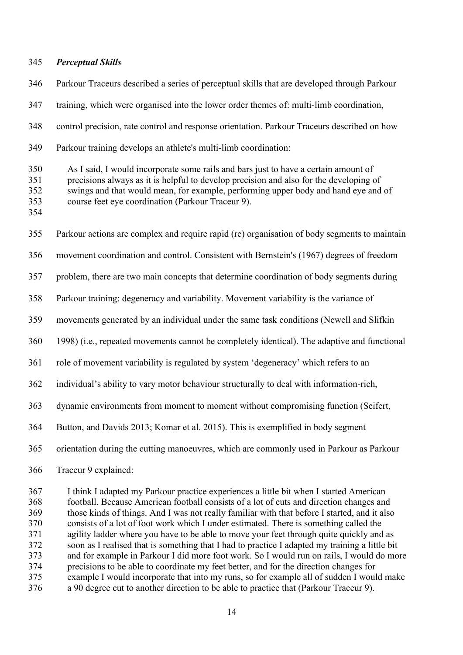### *Perceptual Skills*

 Parkour Traceurs described a series of perceptual skills that are developed through Parkour training, which were organised into the lower order themes of: multi-limb coordination, control precision, rate control and response orientation. Parkour Traceurs described on how Parkour training develops an athlete's multi-limb coordination: As I said, I would incorporate some rails and bars just to have a certain amount of precisions always as it is helpful to develop precision and also for the developing of swings and that would mean, for example, performing upper body and hand eye and of course feet eye coordination (Parkour Traceur 9). Parkour actions are complex and require rapid (re) organisation of body segments to maintain movement coordination and control. Consistent with Bernstein's (1967) degrees of freedom problem, there are two main concepts that determine coordination of body segments during Parkour training: degeneracy and variability. Movement variability is the variance of movements generated by an individual under the same task conditions (Newell and Slifkin 1998) (i.e., repeated movements cannot be completely identical). The adaptive and functional role of movement variability is regulated by system 'degeneracy' which refers to an individual's ability to vary motor behaviour structurally to deal with information-rich, dynamic environments from moment to moment without compromising function (Seifert, Button, and Davids 2013; Komar et al. 2015). This is exemplified in body segment orientation during the cutting manoeuvres, which are commonly used in Parkour as Parkour Traceur 9 explained: I think I adapted my Parkour practice experiences a little bit when I started American

 football. Because American football consists of a lot of cuts and direction changes and those kinds of things. And I was not really familiar with that before I started, and it also consists of a lot of foot work which I under estimated. There is something called the agility ladder where you have to be able to move your feet through quite quickly and as soon as I realised that is something that I had to practice I adapted my training a little bit and for example in Parkour I did more foot work. So I would run on rails, I would do more precisions to be able to coordinate my feet better, and for the direction changes for example I would incorporate that into my runs, so for example all of sudden I would make a 90 degree cut to another direction to be able to practice that (Parkour Traceur 9).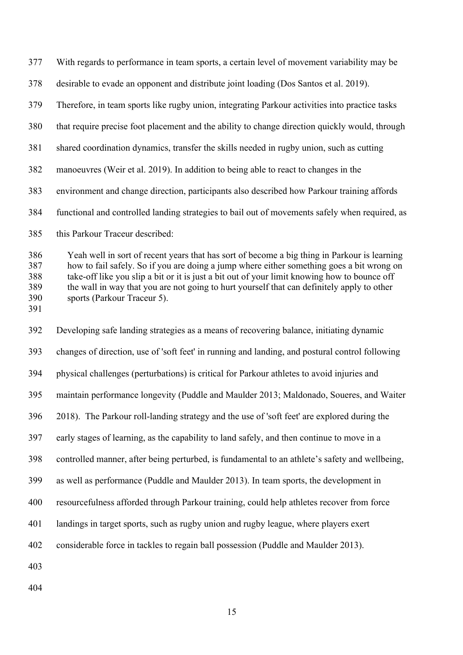| 377 | With regards to performance in team sports, a certain level of movement variability may be     |
|-----|------------------------------------------------------------------------------------------------|
| 378 | desirable to evade an opponent and distribute joint loading (Dos Santos et al. 2019).          |
| 379 | Therefore, in team sports like rugby union, integrating Parkour activities into practice tasks |
| 380 | that require precise foot placement and the ability to change direction quickly would, through |
| 381 | shared coordination dynamics, transfer the skills needed in rugby union, such as cutting       |
| 382 | manoeuvres (Weir et al. 2019). In addition to being able to react to changes in the            |
| 383 | environment and change direction, participants also described how Parkour training affords     |
| 384 | functional and controlled landing strategies to bail out of movements safely when required, as |
| 385 | this Parkour Traceur described:                                                                |

 Yeah well in sort of recent years that has sort of become a big thing in Parkour is learning how to fail safely. So if you are doing a jump where either something goes a bit wrong on take-off like you slip a bit or it is just a bit out of your limit knowing how to bounce off the wall in way that you are not going to hurt yourself that can definitely apply to other sports (Parkour Traceur 5).

 Developing safe landing strategies as a means of recovering balance, initiating dynamic changes of direction, use of 'soft feet' in running and landing, and postural control following physical challenges (perturbations) is critical for Parkour athletes to avoid injuries and maintain performance longevity (Puddle and Maulder 2013; Maldonado, Soueres, and Waiter 2018). The Parkour roll-landing strategy and the use of 'soft feet' are explored during the early stages of learning, as the capability to land safely, and then continue to move in a controlled manner, after being perturbed, is fundamental to an athlete's safety and wellbeing, as well as performance (Puddle and Maulder 2013). In team sports, the development in resourcefulness afforded through Parkour training, could help athletes recover from force landings in target sports, such as rugby union and rugby league, where players exert considerable force in tackles to regain ball possession (Puddle and Maulder 2013).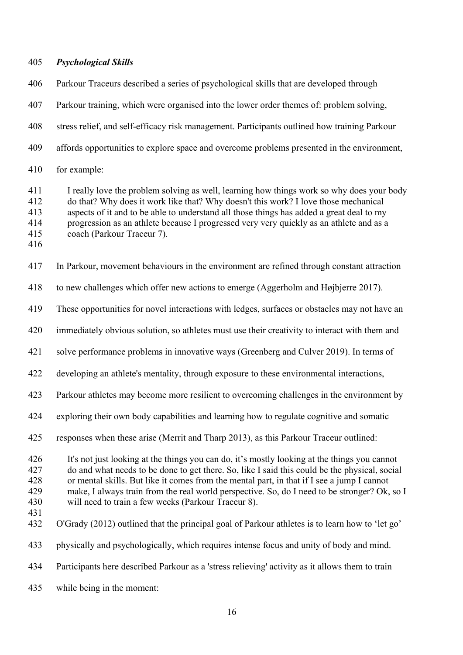## *Psychological Skills*

 Parkour Traceurs described a series of psychological skills that are developed through Parkour training, which were organised into the lower order themes of: problem solving, stress relief, and self-efficacy risk management. Participants outlined how training Parkour affords opportunities to explore space and overcome problems presented in the environment, for example: 411 I really love the problem solving as well, learning how things work so why does your body do that? Why does it work like that? Why doesn't this work? I love those mechanical

- aspects of it and to be able to understand all those things has added a great deal to my progression as an athlete because I progressed very very quickly as an athlete and as a coach (Parkour Traceur 7).
- 

In Parkour, movement behaviours in the environment are refined through constant attraction

to new challenges which offer new actions to emerge (Aggerholm and Højbjerre 2017).

These opportunities for novel interactions with ledges, surfaces or obstacles may not have an

immediately obvious solution, so athletes must use their creativity to interact with them and

solve performance problems in innovative ways (Greenberg and Culver 2019). In terms of

developing an athlete's mentality, through exposure to these environmental interactions,

Parkour athletes may become more resilient to overcoming challenges in the environment by

exploring their own body capabilities and learning how to regulate cognitive and somatic

responses when these arise (Merrit and Tharp 2013), as this Parkour Traceur outlined:

 It's not just looking at the things you can do, it's mostly looking at the things you cannot do and what needs to be done to get there. So, like I said this could be the physical, social or mental skills. But like it comes from the mental part, in that if I see a jump I cannot make, I always train from the real world perspective. So, do I need to be stronger? Ok, so I will need to train a few weeks (Parkour Traceur 8).

O'Grady (2012) outlined that the principal goal of Parkour athletes is to learn how to 'let go'

physically and psychologically, which requires intense focus and unity of body and mind.

Participants here described Parkour as a 'stress relieving' activity as it allows them to train

while being in the moment: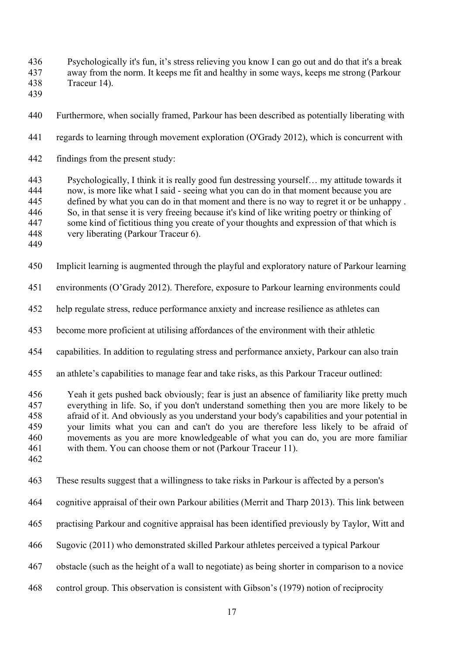Psychologically it's fun, it's stress relieving you know I can go out and do that it's a break away from the norm. It keeps me fit and healthy in some ways, keeps me strong (Parkour Traceur 14).

Furthermore, when socially framed, Parkour has been described as potentially liberating with

- regards to learning through movement exploration (O'Grady 2012), which is concurrent with
- findings from the present study:

 Psychologically, I think it is really good fun destressing yourself… my attitude towards it now, is more like what I said - seeing what you can do in that moment because you are defined by what you can do in that moment and there is no way to regret it or be unhappy . So, in that sense it is very freeing because it's kind of like writing poetry or thinking of some kind of fictitious thing you create of your thoughts and expression of that which is very liberating (Parkour Traceur 6).

Implicit learning is augmented through the playful and exploratory nature of Parkour learning

environments (O'Grady 2012). Therefore, exposure to Parkour learning environments could

help regulate stress, reduce performance anxiety and increase resilience as athletes can

become more proficient at utilising affordances of the environment with their athletic

capabilities. In addition to regulating stress and performance anxiety, Parkour can also train

an athlete's capabilities to manage fear and take risks, as this Parkour Traceur outlined:

 Yeah it gets pushed back obviously; fear is just an absence of familiarity like pretty much everything in life. So, if you don't understand something then you are more likely to be afraid of it. And obviously as you understand your body's capabilities and your potential in your limits what you can and can't do you are therefore less likely to be afraid of movements as you are more knowledgeable of what you can do, you are more familiar with them. You can choose them or not (Parkour Traceur 11).

These results suggest that a willingness to take risks in Parkour is affected by a person's

cognitive appraisal of their own Parkour abilities (Merrit and Tharp 2013). This link between

practising Parkour and cognitive appraisal has been identified previously by Taylor, Witt and

Sugovic (2011) who demonstrated skilled Parkour athletes perceived a typical Parkour

- obstacle (such as the height of a wall to negotiate) as being shorter in comparison to a novice
- control group. This observation is consistent with Gibson's (1979) notion of reciprocity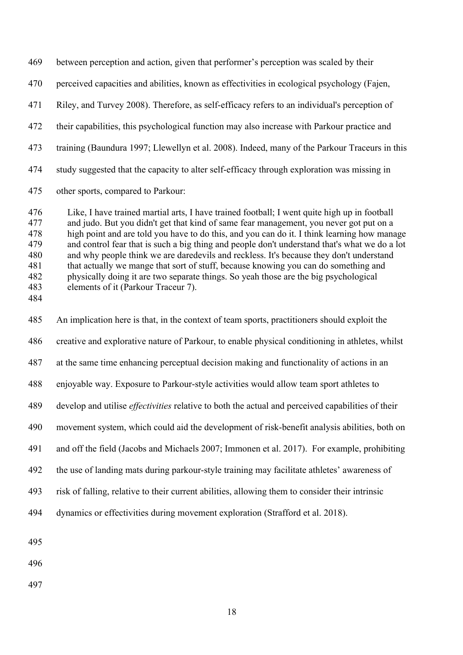between perception and action, given that performer's perception was scaled by their perceived capacities and abilities, known as effectivities in ecological psychology (Fajen, Riley, and Turvey 2008). Therefore, as self-efficacy refers to an individual's perception of their capabilities, this psychological function may also increase with Parkour practice and training (Baundura 1997; Llewellyn et al. 2008). Indeed, many of the Parkour Traceurs in this study suggested that the capacity to alter self-efficacy through exploration was missing in other sports, compared to Parkour:

 Like, I have trained martial arts, I have trained football; I went quite high up in football and judo. But you didn't get that kind of same fear management, you never got put on a high point and are told you have to do this, and you can do it. I think learning how manage and control fear that is such a big thing and people don't understand that's what we do a lot and why people think we are daredevils and reckless. It's because they don't understand that actually we mange that sort of stuff, because knowing you can do something and physically doing it are two separate things. So yeah those are the big psychological elements of it (Parkour Traceur 7).

 An implication here is that, in the context of team sports, practitioners should exploit the creative and explorative nature of Parkour, to enable physical conditioning in athletes, whilst at the same time enhancing perceptual decision making and functionality of actions in an enjoyable way. Exposure to Parkour-style activities would allow team sport athletes to develop and utilise *effectivities* relative to both the actual and perceived capabilities of their movement system, which could aid the development of risk-benefit analysis abilities, both on and off the field (Jacobs and Michaels 2007; Immonen et al. 2017). For example, prohibiting the use of landing mats during parkour-style training may facilitate athletes' awareness of risk of falling, relative to their current abilities, allowing them to consider their intrinsic dynamics or effectivities during movement exploration (Strafford et al. 2018).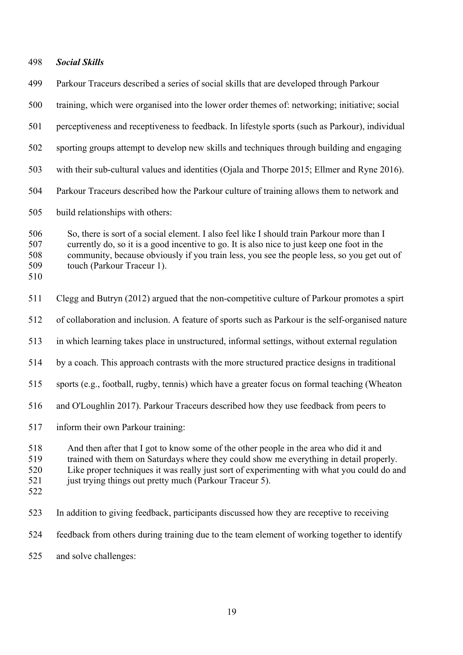#### *Social Skills*

 Parkour Traceurs described a series of social skills that are developed through Parkour training, which were organised into the lower order themes of: networking; initiative; social perceptiveness and receptiveness to feedback. In lifestyle sports (such as Parkour), individual sporting groups attempt to develop new skills and techniques through building and engaging with their sub-cultural values and identities (Ojala and Thorpe 2015; Ellmer and Ryne 2016). Parkour Traceurs described how the Parkour culture of training allows them to network and build relationships with others: So, there is sort of a social element. I also feel like I should train Parkour more than I currently do, so it is a good incentive to go. It is also nice to just keep one foot in the community, because obviously if you train less, you see the people less, so you get out of touch (Parkour Traceur 1). Clegg and Butryn (2012) argued that the non-competitive culture of Parkour promotes a spirt of collaboration and inclusion. A feature of sports such as Parkour is the self-organised nature in which learning takes place in unstructured, informal settings, without external regulation by a coach. This approach contrasts with the more structured practice designs in traditional sports (e.g., football, rugby, tennis) which have a greater focus on formal teaching (Wheaton and O'Loughlin 2017). Parkour Traceurs described how they use feedback from peers to inform their own Parkour training: And then after that I got to know some of the other people in the area who did it and trained with them on Saturdays where they could show me everything in detail properly. Like proper techniques it was really just sort of experimenting with what you could do and 521 just trying things out pretty much (Parkour Traceur 5). In addition to giving feedback, participants discussed how they are receptive to receiving feedback from others during training due to the team element of working together to identify and solve challenges: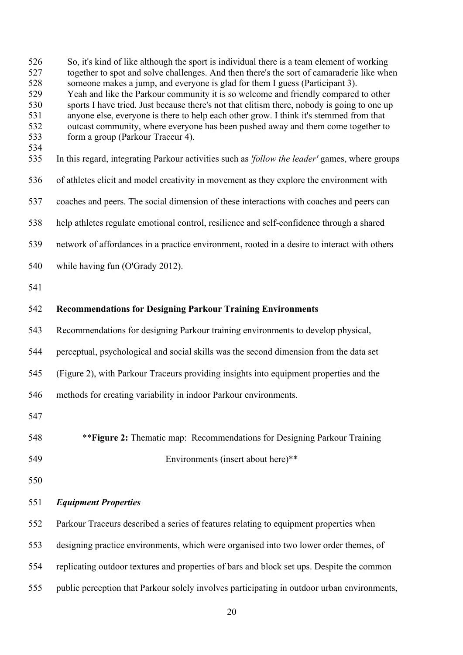| 526<br>527<br>528<br>529<br>530<br>531<br>532<br>533<br>534<br>535 | So, it's kind of like although the sport is individual there is a team element of working<br>together to spot and solve challenges. And then there's the sort of camaraderie like when<br>someone makes a jump, and everyone is glad for them I guess (Participant 3).<br>Yeah and like the Parkour community it is so welcome and friendly compared to other<br>sports I have tried. Just because there's not that elitism there, nobody is going to one up<br>anyone else, everyone is there to help each other grow. I think it's stemmed from that<br>outcast community, where everyone has been pushed away and them come together to<br>form a group (Parkour Traceur 4).<br>In this regard, integrating Parkour activities such as 'follow the leader' games, where groups |
|--------------------------------------------------------------------|-----------------------------------------------------------------------------------------------------------------------------------------------------------------------------------------------------------------------------------------------------------------------------------------------------------------------------------------------------------------------------------------------------------------------------------------------------------------------------------------------------------------------------------------------------------------------------------------------------------------------------------------------------------------------------------------------------------------------------------------------------------------------------------|
| 536                                                                | of athletes elicit and model creativity in movement as they explore the environment with                                                                                                                                                                                                                                                                                                                                                                                                                                                                                                                                                                                                                                                                                          |
| 537                                                                | coaches and peers. The social dimension of these interactions with coaches and peers can                                                                                                                                                                                                                                                                                                                                                                                                                                                                                                                                                                                                                                                                                          |
| 538                                                                | help athletes regulate emotional control, resilience and self-confidence through a shared                                                                                                                                                                                                                                                                                                                                                                                                                                                                                                                                                                                                                                                                                         |
| 539                                                                | network of affordances in a practice environment, rooted in a desire to interact with others                                                                                                                                                                                                                                                                                                                                                                                                                                                                                                                                                                                                                                                                                      |
| 540                                                                | while having fun (O'Grady 2012).                                                                                                                                                                                                                                                                                                                                                                                                                                                                                                                                                                                                                                                                                                                                                  |
| 541                                                                |                                                                                                                                                                                                                                                                                                                                                                                                                                                                                                                                                                                                                                                                                                                                                                                   |
| 542                                                                | <b>Recommendations for Designing Parkour Training Environments</b>                                                                                                                                                                                                                                                                                                                                                                                                                                                                                                                                                                                                                                                                                                                |
| 543                                                                | Recommendations for designing Parkour training environments to develop physical,                                                                                                                                                                                                                                                                                                                                                                                                                                                                                                                                                                                                                                                                                                  |
| 544                                                                | perceptual, psychological and social skills was the second dimension from the data set                                                                                                                                                                                                                                                                                                                                                                                                                                                                                                                                                                                                                                                                                            |
| 545                                                                | (Figure 2), with Parkour Traceurs providing insights into equipment properties and the                                                                                                                                                                                                                                                                                                                                                                                                                                                                                                                                                                                                                                                                                            |
| 546                                                                | methods for creating variability in indoor Parkour environments.                                                                                                                                                                                                                                                                                                                                                                                                                                                                                                                                                                                                                                                                                                                  |
| 547                                                                |                                                                                                                                                                                                                                                                                                                                                                                                                                                                                                                                                                                                                                                                                                                                                                                   |
| 548                                                                | <b>**Figure 2:</b> Thematic map: Recommendations for Designing Parkour Training                                                                                                                                                                                                                                                                                                                                                                                                                                                                                                                                                                                                                                                                                                   |
| 549                                                                | Environments (insert about here)**                                                                                                                                                                                                                                                                                                                                                                                                                                                                                                                                                                                                                                                                                                                                                |
| 550                                                                |                                                                                                                                                                                                                                                                                                                                                                                                                                                                                                                                                                                                                                                                                                                                                                                   |
| 551                                                                | <b>Equipment Properties</b>                                                                                                                                                                                                                                                                                                                                                                                                                                                                                                                                                                                                                                                                                                                                                       |
| 552                                                                | Parkour Traceurs described a series of features relating to equipment properties when                                                                                                                                                                                                                                                                                                                                                                                                                                                                                                                                                                                                                                                                                             |
| 553                                                                | designing practice environments, which were organised into two lower order themes, of                                                                                                                                                                                                                                                                                                                                                                                                                                                                                                                                                                                                                                                                                             |
| 554                                                                | replicating outdoor textures and properties of bars and block set ups. Despite the common                                                                                                                                                                                                                                                                                                                                                                                                                                                                                                                                                                                                                                                                                         |

public perception that Parkour solely involves participating in outdoor urban environments,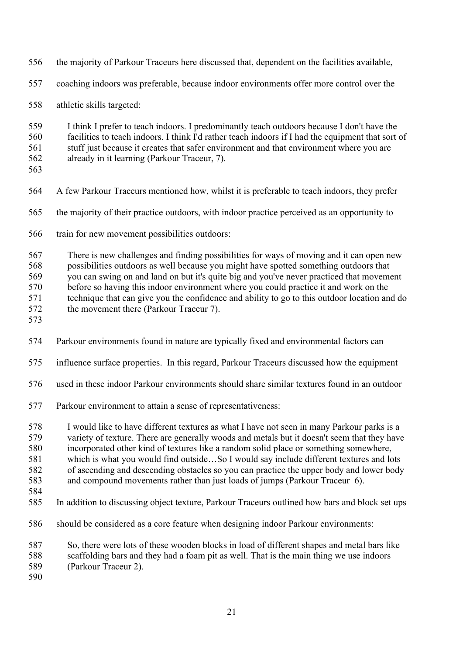- the majority of Parkour Traceurs here discussed that, dependent on the facilities available,
- coaching indoors was preferable, because indoor environments offer more control over the
- athletic skills targeted:

 I think I prefer to teach indoors. I predominantly teach outdoors because I don't have the facilities to teach indoors. I think I'd rather teach indoors if I had the equipment that sort of stuff just because it creates that safer environment and that environment where you are already in it learning (Parkour Traceur, 7).

- 
- A few Parkour Traceurs mentioned how, whilst it is preferable to teach indoors, they prefer
- the majority of their practice outdoors, with indoor practice perceived as an opportunity to
- train for new movement possibilities outdoors:

 There is new challenges and finding possibilities for ways of moving and it can open new possibilities outdoors as well because you might have spotted something outdoors that you can swing on and land on but it's quite big and you've never practiced that movement before so having this indoor environment where you could practice it and work on the technique that can give you the confidence and ability to go to this outdoor location and do the movement there (Parkour Traceur 7).

Parkour environments found in nature are typically fixed and environmental factors can

- influence surface properties. In this regard, Parkour Traceurs discussed how the equipment
- used in these indoor Parkour environments should share similar textures found in an outdoor
- Parkour environment to attain a sense of representativeness:

 I would like to have different textures as what I have not seen in many Parkour parks is a variety of texture. There are generally woods and metals but it doesn't seem that they have incorporated other kind of textures like a random solid place or something somewhere, which is what you would find outside…So I would say include different textures and lots of ascending and descending obstacles so you can practice the upper body and lower body and compound movements rather than just loads of jumps (Parkour Traceur 6).

- 
- In addition to discussing object texture, Parkour Traceurs outlined how bars and block set ups
- should be considered as a core feature when designing indoor Parkour environments:

 So, there were lots of these wooden blocks in load of different shapes and metal bars like scaffolding bars and they had a foam pit as well. That is the main thing we use indoors (Parkour Traceur 2).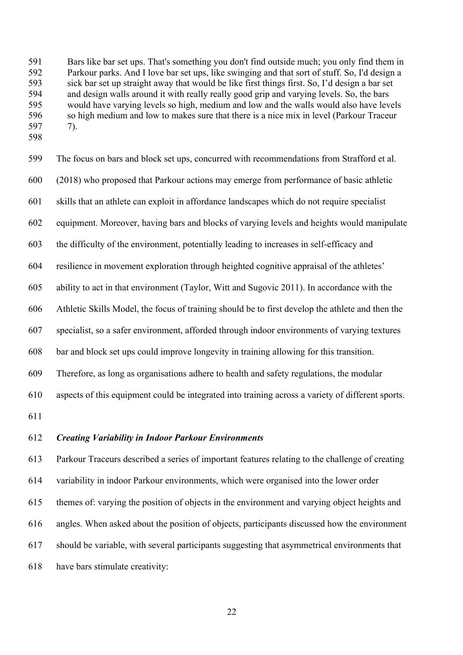Bars like bar set ups. That's something you don't find outside much; you only find them in Parkour parks. And I love bar set ups, like swinging and that sort of stuff. So, I'd design a sick bar set up straight away that would be like first things first. So, I'd design a bar set and design walls around it with really really good grip and varying levels. So, the bars would have varying levels so high, medium and low and the walls would also have levels so high medium and low to makes sure that there is a nice mix in level (Parkour Traceur 7). 

 The focus on bars and block set ups, concurred with recommendations from Strafford et al. (2018) who proposed that Parkour actions may emerge from performance of basic athletic skills that an athlete can exploit in affordance landscapes which do not require specialist equipment. Moreover, having bars and blocks of varying levels and heights would manipulate the difficulty of the environment, potentially leading to increases in self-efficacy and resilience in movement exploration through heighted cognitive appraisal of the athletes' ability to act in that environment (Taylor, Witt and Sugovic 2011). In accordance with the Athletic Skills Model, the focus of training should be to first develop the athlete and then the specialist, so a safer environment, afforded through indoor environments of varying textures bar and block set ups could improve longevity in training allowing for this transition. Therefore, as long as organisations adhere to health and safety regulations, the modular aspects of this equipment could be integrated into training across a variety of different sports.

## *Creating Variability in Indoor Parkour Environments*

 Parkour Traceurs described a series of important features relating to the challenge of creating variability in indoor Parkour environments, which were organised into the lower order themes of: varying the position of objects in the environment and varying object heights and angles. When asked about the position of objects, participants discussed how the environment should be variable, with several participants suggesting that asymmetrical environments that have bars stimulate creativity: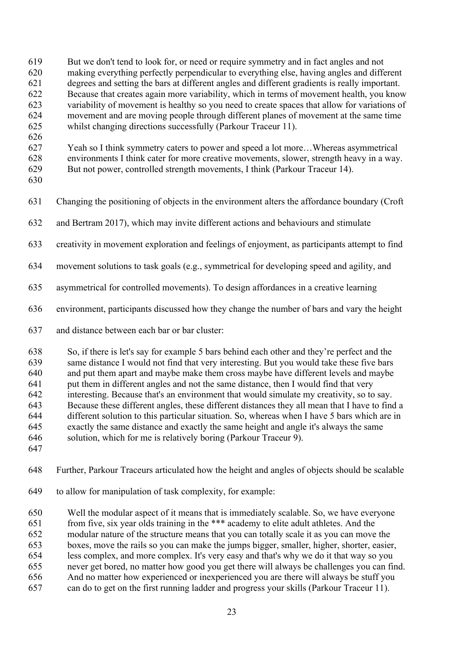But we don't tend to look for, or need or require symmetry and in fact angles and not making everything perfectly perpendicular to everything else, having angles and different degrees and setting the bars at different angles and different gradients is really important. Because that creates again more variability, which in terms of movement health, you know variability of movement is healthy so you need to create spaces that allow for variations of movement and are moving people through different planes of movement at the same time whilst changing directions successfully (Parkour Traceur 11).

 Yeah so I think symmetry caters to power and speed a lot more…Whereas asymmetrical environments I think cater for more creative movements, slower, strength heavy in a way. But not power, controlled strength movements, I think (Parkour Traceur 14).

Changing the positioning of objects in the environment alters the affordance boundary (Croft

- and Bertram 2017), which may invite different actions and behaviours and stimulate
- creativity in movement exploration and feelings of enjoyment, as participants attempt to find
- movement solutions to task goals (e.g., symmetrical for developing speed and agility, and
- asymmetrical for controlled movements). To design affordances in a creative learning
- environment, participants discussed how they change the number of bars and vary the height
- and distance between each bar or bar cluster:

 So, if there is let's say for example 5 bars behind each other and they're perfect and the same distance I would not find that very interesting. But you would take these five bars and put them apart and maybe make them cross maybe have different levels and maybe put them in different angles and not the same distance, then I would find that very interesting. Because that's an environment that would simulate my creativity, so to say. Because these different angles, these different distances they all mean that I have to find a different solution to this particular situation. So, whereas when I have 5 bars which are in exactly the same distance and exactly the same height and angle it's always the same solution, which for me is relatively boring (Parkour Traceur 9).

Further, Parkour Traceurs articulated how the height and angles of objects should be scalable

to allow for manipulation of task complexity, for example:

 Well the modular aspect of it means that is immediately scalable. So, we have everyone from five, six year olds training in the \*\*\* academy to elite adult athletes. And the modular nature of the structure means that you can totally scale it as you can move the boxes, move the rails so you can make the jumps bigger, smaller, higher, shorter, easier, less complex, and more complex. It's very easy and that's why we do it that way so you never get bored, no matter how good you get there will always be challenges you can find. And no matter how experienced or inexperienced you are there will always be stuff you can do to get on the first running ladder and progress your skills (Parkour Traceur 11).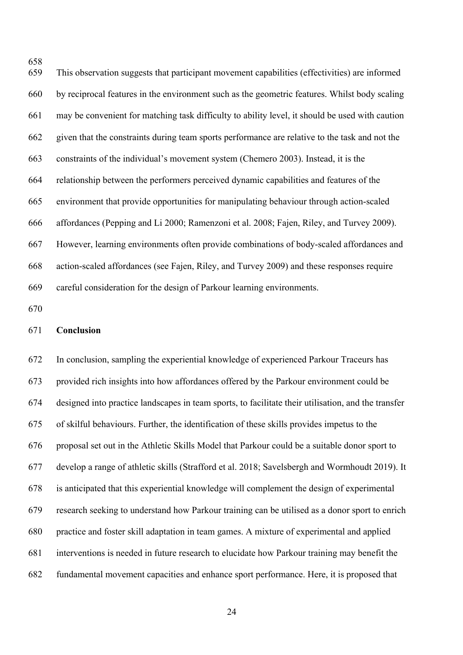This observation suggests that participant movement capabilities (effectivities) are informed by reciprocal features in the environment such as the geometric features. Whilst body scaling may be convenient for matching task difficulty to ability level, it should be used with caution given that the constraints during team sports performance are relative to the task and not the constraints of the individual's movement system (Chemero 2003). Instead, it is the relationship between the performers perceived dynamic capabilities and features of the environment that provide opportunities for manipulating behaviour through action-scaled affordances (Pepping and Li 2000; Ramenzoni et al. 2008; Fajen, Riley, and Turvey 2009). However, learning environments often provide combinations of body-scaled affordances and action-scaled affordances (see Fajen, Riley, and Turvey 2009) and these responses require careful consideration for the design of Parkour learning environments.

## **Conclusion**

 In conclusion, sampling the experiential knowledge of experienced Parkour Traceurs has provided rich insights into how affordances offered by the Parkour environment could be designed into practice landscapes in team sports, to facilitate their utilisation, and the transfer of skilful behaviours. Further, the identification of these skills provides impetus to the proposal set out in the Athletic Skills Model that Parkour could be a suitable donor sport to develop a range of athletic skills (Strafford et al. 2018; Savelsbergh and Wormhoudt 2019). It is anticipated that this experiential knowledge will complement the design of experimental research seeking to understand how Parkour training can be utilised as a donor sport to enrich practice and foster skill adaptation in team games. A mixture of experimental and applied interventions is needed in future research to elucidate how Parkour training may benefit the fundamental movement capacities and enhance sport performance. Here, it is proposed that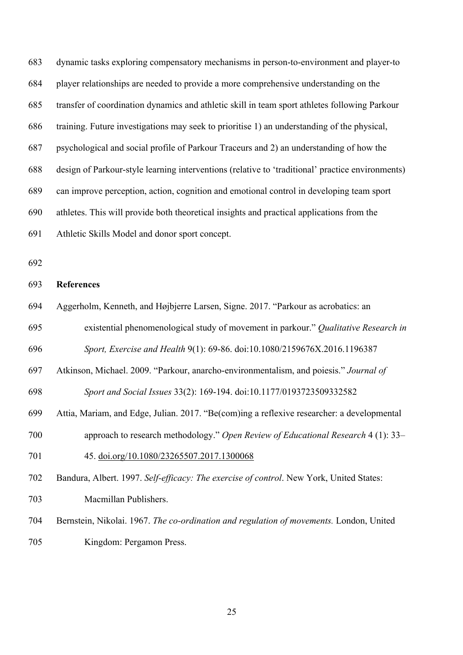dynamic tasks exploring compensatory mechanisms in person-to-environment and player-to player relationships are needed to provide a more comprehensive understanding on the transfer of coordination dynamics and athletic skill in team sport athletes following Parkour training. Future investigations may seek to prioritise 1) an understanding of the physical, psychological and social profile of Parkour Traceurs and 2) an understanding of how the design of Parkour-style learning interventions (relative to 'traditional' practice environments) can improve perception, action, cognition and emotional control in developing team sport athletes. This will provide both theoretical insights and practical applications from the Athletic Skills Model and donor sport concept.

#### **References**

- Aggerholm, Kenneth, and Højbjerre Larsen, Signe. 2017. "Parkour as acrobatics: an
- existential phenomenological study of movement in parkour." *Qualitative Research in*
- *Sport, Exercise and Health* 9(1): 69-86. doi:10.1080/2159676X.2016.1196387
- Atkinson, Michael. 2009. "Parkour, anarcho-environmentalism, and poiesis." *Journal of*
- *Sport and Social Issues* 33(2): 169-194. doi:10.1177/0193723509332582
- Attia, Mariam, and Edge, Julian. 2017. "Be(com)ing a reflexive researcher: a developmental
- approach to research methodology." *Open Review of Educational Research* 4 (1): 33–
- 45. doi.org/10.1080/23265507.2017.1300068
- Bandura, Albert. 1997. *Self-efficacy: The exercise of control*. New York, United States:
- Macmillan Publishers.
- Bernstein, Nikolai. 1967. *The co-ordination and regulation of movements.* London, United Kingdom: Pergamon Press.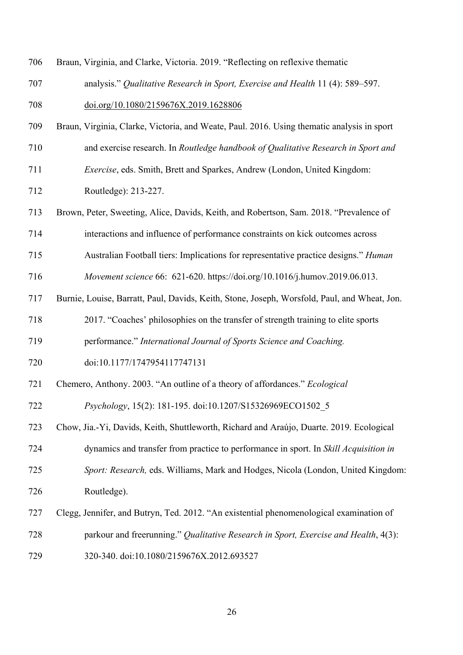| 706 | Braun, Virginia, and Clarke, Victoria. 2019. "Reflecting on reflexive thematic               |
|-----|----------------------------------------------------------------------------------------------|
| 707 | analysis." Qualitative Research in Sport, Exercise and Health 11 (4): 589-597.               |
| 708 | doi.org/10.1080/2159676X.2019.1628806                                                        |
| 709 | Braun, Virginia, Clarke, Victoria, and Weate, Paul. 2016. Using thematic analysis in sport   |
| 710 | and exercise research. In Routledge handbook of Qualitative Research in Sport and            |
| 711 | Exercise, eds. Smith, Brett and Sparkes, Andrew (London, United Kingdom:                     |
| 712 | Routledge): 213-227.                                                                         |
| 713 | Brown, Peter, Sweeting, Alice, Davids, Keith, and Robertson, Sam. 2018. "Prevalence of       |
| 714 | interactions and influence of performance constraints on kick outcomes across                |
| 715 | Australian Football tiers: Implications for representative practice designs." Human          |
| 716 | <i>Movement science</i> 66: 621-620. https://doi.org/10.1016/j.humov.2019.06.013.            |
| 717 | Burnie, Louise, Barratt, Paul, Davids, Keith, Stone, Joseph, Worsfold, Paul, and Wheat, Jon. |
| 718 | 2017. "Coaches' philosophies on the transfer of strength training to elite sports            |
| 719 | performance." International Journal of Sports Science and Coaching.                          |
| 720 | doi:10.1177/1747954117747131                                                                 |
| 721 | Chemero, Anthony. 2003. "An outline of a theory of affordances." Ecological                  |
| 722 | Psychology, 15(2): 181-195. doi:10.1207/S15326969ECO1502 5                                   |
| 723 | Chow, Jia.-Yi, Davids, Keith, Shuttleworth, Richard and Araújo, Duarte. 2019. Ecological     |
| 724 | dynamics and transfer from practice to performance in sport. In Skill Acquisition in         |
| 725 | Sport: Research, eds. Williams, Mark and Hodges, Nicola (London, United Kingdom:             |
| 726 | Routledge).                                                                                  |
| 727 | Clegg, Jennifer, and Butryn, Ted. 2012. "An existential phenomenological examination of      |
| 728 | parkour and freerunning." Qualitative Research in Sport, Exercise and Health, 4(3):          |
| 729 | 320-340. doi:10.1080/2159676X.2012.693527                                                    |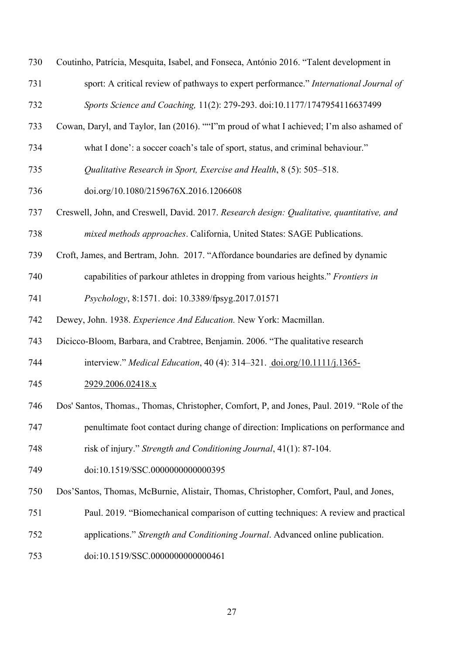- Coutinho, Patrícia, Mesquita, Isabel, and Fonseca, António 2016. "Talent development in
- sport: A critical review of pathways to expert performance." *International Journal of Sports Science and Coaching,* 11(2): 279-293. doi:10.1177/1747954116637499
- Cowan, Daryl, and Taylor, Ian (2016). ""I"m proud of what I achieved; I'm also ashamed of
- what I done': a soccer coach's tale of sport, status, and criminal behaviour."
- *Qualitative Research in Sport, Exercise and Health*, 8 (5): 505–518.
- doi.org/10.1080/2159676X.2016.1206608
- Creswell, John, and Creswell, David. 2017. *Research design: Qualitative, quantitative, and mixed methods approaches*. California, United States: SAGE Publications.
- Croft, James, and Bertram, John. 2017. "Affordance boundaries are defined by dynamic
- capabilities of parkour athletes in dropping from various heights." *Frontiers in*
- *Psychology*, 8:1571. doi: 10.3389/fpsyg.2017.01571
- Dewey, John. 1938. *Experience And Education.* New York: Macmillan.
- Dicicco‐Bloom, Barbara, and Crabtree, Benjamin. 2006. "The qualitative research
- interview." *Medical Education*, 40 (4): 314–321. doi.org/10.1111/j.1365-
- 2929.2006.02418.x
- Dos' Santos, Thomas., Thomas, Christopher, Comfort, P, and Jones, Paul. 2019. "Role of the
- penultimate foot contact during change of direction: Implications on performance and
- risk of injury." *Strength and Conditioning Journal*, 41(1): 87-104.
- doi:10.1519/SSC.0000000000000395
- Dos'Santos, Thomas, McBurnie, Alistair, Thomas, Christopher, Comfort, Paul, and Jones,
- Paul. 2019. "Biomechanical comparison of cutting techniques: A review and practical
- applications." *Strength and Conditioning Journal*. Advanced online publication.
- doi:10.1519/SSC.0000000000000461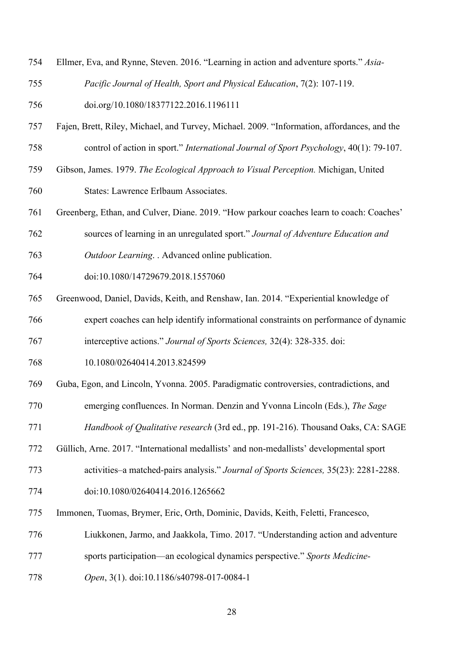- Ellmer, Eva, and Rynne, Steven. 2016. "Learning in action and adventure sports." *Asia-*
- *Pacific Journal of Health, Sport and Physical Education*, 7(2): 107-119.

doi.org/10.1080/18377122.2016.1196111

- Fajen, Brett, Riley, Michael, and Turvey, Michael. 2009. "Information, affordances, and the control of action in sport." *International Journal of Sport Psychology*, 40(1): 79-107.
- Gibson, James. 1979. *The Ecological Approach to Visual Perception.* Michigan, United

States: Lawrence Erlbaum Associates.

- Greenberg, Ethan, and Culver, Diane. 2019. "How parkour coaches learn to coach: Coaches'
- sources of learning in an unregulated sport." *Journal of Adventure Education and*
- *Outdoor Learning*. . Advanced online publication.
- doi:10.1080/14729679.2018.1557060
- Greenwood, Daniel, Davids, Keith, and Renshaw, Ian. 2014. "Experiential knowledge of expert coaches can help identify informational constraints on performance of dynamic
- interceptive actions." *Journal of Sports Sciences,* 32(4): 328-335. doi:
- 10.1080/02640414.2013.824599
- Guba, Egon, and Lincoln, Yvonna. 2005. Paradigmatic controversies, contradictions, and
- emerging confluences. In Norman. Denzin and Yvonna Lincoln (Eds.), *The Sage*
- *Handbook of Qualitative research* (3rd ed., pp. 191-216). Thousand Oaks, CA: SAGE
- Güllich, Arne. 2017. "International medallists' and non-medallists' developmental sport
- activities–a matched-pairs analysis." *Journal of Sports Sciences,* 35(23): 2281-2288.
- doi:10.1080/02640414.2016.1265662
- Immonen, Tuomas, Brymer, Eric, Orth, Dominic, Davids, Keith, Feletti, Francesco,
- Liukkonen, Jarmo, and Jaakkola, Timo. 2017. "Understanding action and adventure
- sports participation—an ecological dynamics perspective." *Sports Medicine-*
- *Open*, 3(1). doi:10.1186/s40798-017-0084-1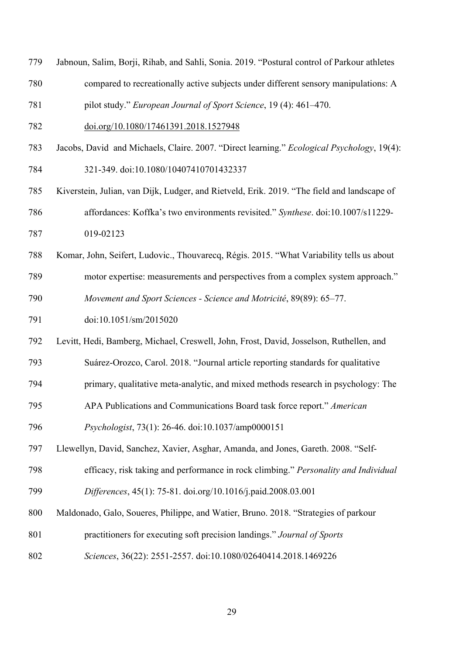| 779 | Jabnoun, Salim, Borji, Rihab, and Sahli, Sonia. 2019. "Postural control of Parkour athletes |
|-----|---------------------------------------------------------------------------------------------|
| 780 | compared to recreationally active subjects under different sensory manipulations: A         |
| 781 | pilot study." European Journal of Sport Science, 19 (4): 461–470.                           |
| 782 | doi.org/10.1080/17461391.2018.1527948                                                       |
| 783 | Jacobs, David and Michaels, Claire. 2007. "Direct learning." Ecological Psychology, 19(4):  |
| 784 | 321-349. doi:10.1080/10407410701432337                                                      |
| 785 | Kiverstein, Julian, van Dijk, Ludger, and Rietveld, Erik. 2019. "The field and landscape of |
| 786 | affordances: Koffka's two environments revisited." Synthese. doi:10.1007/s11229-            |
| 787 | 019-02123                                                                                   |
| 788 | Komar, John, Seifert, Ludovic., Thouvarecq, Régis. 2015. "What Variability tells us about   |
| 789 | motor expertise: measurements and perspectives from a complex system approach."             |
| 790 | Movement and Sport Sciences - Science and Motricité, 89(89): 65-77.                         |
| 791 | doi:10.1051/sm/2015020                                                                      |
| 792 | Levitt, Hedi, Bamberg, Michael, Creswell, John, Frost, David, Josselson, Ruthellen, and     |
| 793 | Suárez-Orozco, Carol. 2018. "Journal article reporting standards for qualitative            |
| 794 | primary, qualitative meta-analytic, and mixed methods research in psychology: The           |
| 795 | APA Publications and Communications Board task force report." American                      |
| 796 | Psychologist, 73(1): 26-46. doi:10.1037/amp0000151                                          |
| 797 | Llewellyn, David, Sanchez, Xavier, Asghar, Amanda, and Jones, Gareth. 2008. "Self-          |
| 798 | efficacy, risk taking and performance in rock climbing." Personality and Individual         |
| 799 | Differences, 45(1): 75-81. doi.org/10.1016/j.paid.2008.03.001                               |
| 800 | Maldonado, Galo, Soueres, Philippe, and Watier, Bruno. 2018. "Strategies of parkour         |
| 801 | practitioners for executing soft precision landings." Journal of Sports                     |
| 802 | Sciences, 36(22): 2551-2557. doi:10.1080/02640414.2018.1469226                              |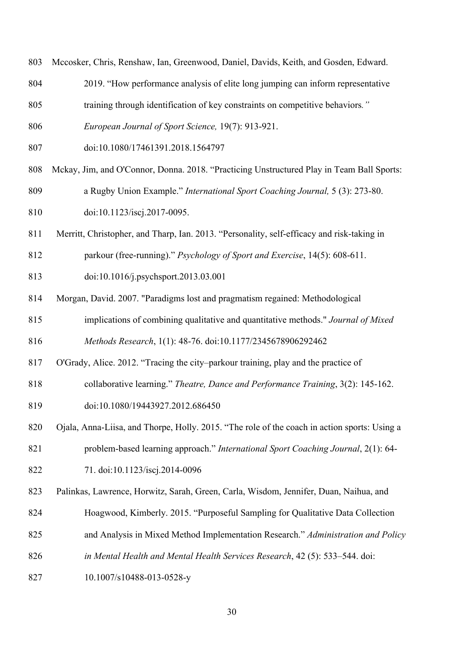- Mccosker, Chris, Renshaw, Ian, Greenwood, Daniel, Davids, Keith, and Gosden, Edward.
- 2019. "How performance analysis of elite long jumping can inform representative
- training through identification of key constraints on competitive behaviors*."*
- *European Journal of Sport Science,* 19(7): 913-921.
- doi:10.1080/17461391.2018.1564797
- Mckay, Jim, and O'Connor, Donna. 2018. "Practicing Unstructured Play in Team Ball Sports: a Rugby Union Example." *International Sport Coaching Journal,* 5 (3): 273-80. doi:10.1123/iscj.2017-0095.
- Merritt, Christopher, and Tharp, Ian. 2013. "Personality, self-efficacy and risk-taking in
- parkour (free-running)." *Psychology of Sport and Exercise*, 14(5): 608-611.
- doi:10.1016/j.psychsport.2013.03.001
- Morgan, David. 2007. "Paradigms lost and pragmatism regained: Methodological
- implications of combining qualitative and quantitative methods." *Journal of Mixed*
- *Methods Research*, 1(1): 48-76. doi:10.1177/2345678906292462
- O'Grady, Alice. 2012. "Tracing the city–parkour training, play and the practice of
- collaborative learning." *Theatre, Dance and Performance Training*, 3(2): 145-162.
- doi:10.1080/19443927.2012.686450
- Ojala, Anna-Liisa, and Thorpe, Holly. 2015. "The role of the coach in action sports: Using a problem-based learning approach." *International Sport Coaching Journal*, 2(1): 64-
- 71. doi:10.1123/iscj.2014-0096
- Palinkas, Lawrence, Horwitz, Sarah, Green, Carla, Wisdom, Jennifer, Duan, Naihua, and
- Hoagwood, Kimberly. 2015. "Purposeful Sampling for Qualitative Data Collection
- and Analysis in Mixed Method Implementation Research." *Administration and Policy*
- *in Mental Health and Mental Health Services Research*, 42 (5): 533–544. doi:
- 10.1007/s10488-013-0528-y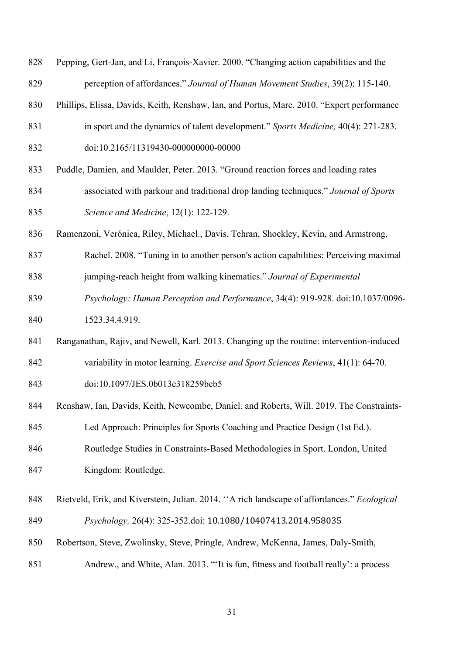- Pepping, Gert-Jan, and Li, François-Xavier. 2000. "Changing action capabilities and the perception of affordances." *Journal of Human Movement Studies*, 39(2): 115-140.
- Phillips, Elissa, Davids, Keith, Renshaw, Ian, and Portus, Marc. 2010. "Expert performance
- in sport and the dynamics of talent development." *Sports Medicine,* 40(4): 271-283.
- doi:10.2165/11319430-000000000-00000
- Puddle, Damien, and Maulder, Peter. 2013. "Ground reaction forces and loading rates
- associated with parkour and traditional drop landing techniques." *Journal of Sports Science and Medicine*, 12(1): 122-129.
- Ramenzoni, Verónica, Riley, Michael., Davis, Tehran, Shockley, Kevin, and Armstrong,
- Rachel. 2008. "Tuning in to another person's action capabilities: Perceiving maximal
- jumping-reach height from walking kinematics." *Journal of Experimental*
- *Psychology: Human Perception and Performance*, 34(4): 919-928. doi:10.1037/0096- 1523.34.4.919.
- Ranganathan, Rajiv, and Newell, Karl. 2013. Changing up the routine: intervention-induced variability in motor learning. *Exercise and Sport Sciences Reviews*, 41(1): 64-70.
- doi:10.1097/JES.0b013e318259beb5
- Renshaw, Ian, Davids, Keith, Newcombe, Daniel. and Roberts, Will. 2019. The Constraints-
- Led Approach: Principles for Sports Coaching and Practice Design (1st Ed.).
- Routledge Studies in Constraints-Based Methodologies in Sport. London, United Kingdom: Routledge.
- Rietveld, Erik, and Kiverstein, Julian. 2014. ''A rich landscape of affordances." *Ecological Psychology,* 26(4): 325-352.doi: 10.1080/10407413.2014.958035
- Robertson, Steve, Zwolinsky, Steve, Pringle, Andrew, McKenna, James, Daly-Smith,
- 851 Andrew., and White, Alan. 2013. "It is fun, fitness and football really': a process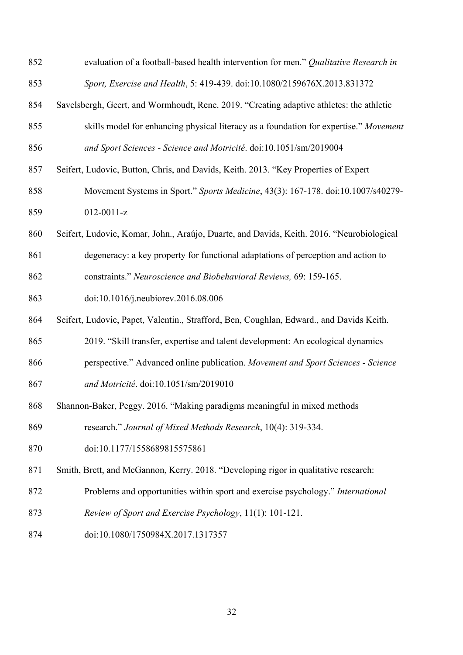| 852 | evaluation of a football-based health intervention for men." Qualitative Research in      |
|-----|-------------------------------------------------------------------------------------------|
| 853 | Sport, Exercise and Health, 5: 419-439. doi:10.1080/2159676X.2013.831372                  |
| 854 | Savelsbergh, Geert, and Wormhoudt, Rene. 2019. "Creating adaptive athletes: the athletic  |
| 855 | skills model for enhancing physical literacy as a foundation for expertise." Movement     |
| 856 | and Sport Sciences - Science and Motricité. doi:10.1051/sm/2019004                        |
| 857 | Seifert, Ludovic, Button, Chris, and Davids, Keith. 2013. "Key Properties of Expert       |
| 858 | Movement Systems in Sport." Sports Medicine, 43(3): 167-178. doi:10.1007/s40279-          |
| 859 | $012 - 0011 - z$                                                                          |
| 860 | Seifert, Ludovic, Komar, John., Araújo, Duarte, and Davids, Keith. 2016. "Neurobiological |
| 861 | degeneracy: a key property for functional adaptations of perception and action to         |
| 862 | constraints." Neuroscience and Biobehavioral Reviews, 69: 159-165.                        |
| 863 | doi:10.1016/j.neubiorev.2016.08.006                                                       |
| 864 | Seifert, Ludovic, Papet, Valentin., Strafford, Ben, Coughlan, Edward., and Davids Keith.  |
| 865 | 2019. "Skill transfer, expertise and talent development: An ecological dynamics           |
| 866 | perspective." Advanced online publication. Movement and Sport Sciences - Science          |
| 867 | and Motricité. doi:10.1051/sm/2019010                                                     |
| 868 | Shannon-Baker, Peggy. 2016. "Making paradigms meaningful in mixed methods                 |
| 869 | research." Journal of Mixed Methods Research, 10(4): 319-334.                             |
| 870 | doi:10.1177/1558689815575861                                                              |
| 871 | Smith, Brett, and McGannon, Kerry. 2018. "Developing rigor in qualitative research:       |
| 872 | Problems and opportunities within sport and exercise psychology." International           |
| 873 | Review of Sport and Exercise Psychology, 11(1): 101-121.                                  |
| 874 | doi:10.1080/1750984X.2017.1317357                                                         |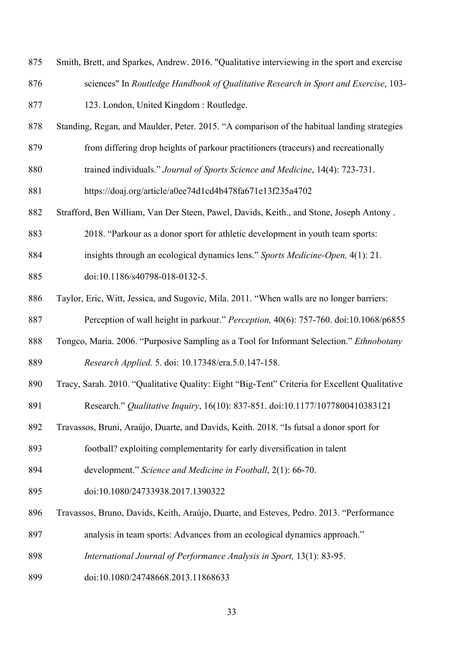- Smith, Brett, and Sparkes, Andrew. 2016. "Qualitative interviewing in the sport and exercise sciences" In *Routledge Handbook of Qualitative Research in Sport and Exercise*, 103-
- 123. London, United Kingdom : Routledge.
- Standing, Regan, and Maulder, Peter. 2015. "A comparison of the habitual landing strategies from differing drop heights of parkour practitioners (traceurs) and recreationally
- trained individuals." *Journal of Sports Science and Medicine*, 14(4): 723-731.

https://doaj.org/article/a0ee74d1cd4b478fa671e13f235a4702

- Strafford, Ben William, Van Der Steen, Pawel, Davids, Keith., and Stone, Joseph Antony .
- 2018. "Parkour as a donor sport for athletic development in youth team sports:
- insights through an ecological dynamics lens." *Sports Medicine-Open,* 4(1): 21.
- doi:10.1186/s40798-018-0132-5.
- Taylor, Eric, Witt, Jessica, and Sugovic, Mila. 2011. "When walls are no longer barriers:
- Perception of wall height in parkour." *Perception,* 40(6): 757-760. doi:10.1068/p6855
- Tongco, Maria. 2006. "Purposive Sampling as a Tool for Informant Selection." *Ethnobotany*
- *Research Applied.* 5. doi: 10.17348/era.5.0.147-158.
- Tracy, Sarah. 2010. "Qualitative Quality: Eight "Big-Tent" Criteria for Excellent Qualitative Research." *Qualitative Inquiry*, 16(10): 837-851. doi:10.1177/1077800410383121
- Travassos, Bruni, Araújo, Duarte, and Davids, Keith. 2018. "Is futsal a donor sport for
- football? exploiting complementarity for early diversification in talent
- development." *Science and Medicine in Football*, 2(1): 66-70.
- doi:10.1080/24733938.2017.1390322
- Travassos, Bruno, Davids, Keith, Araújo, Duarte, and Esteves, Pedro. 2013. "Performance
- analysis in team sports: Advances from an ecological dynamics approach."
- *International Journal of Performance Analysis in Sport,* 13(1): 83-95.
- doi:10.1080/24748668.2013.11868633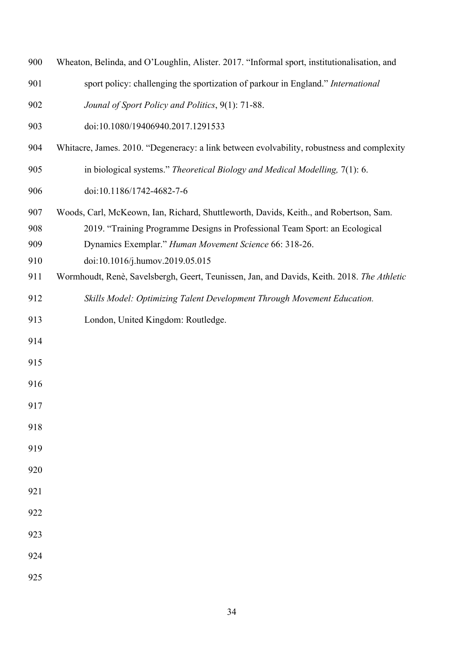- Wheaton, Belinda, and O'Loughlin, Alister. 2017. "Informal sport, institutionalisation, and
- sport policy: challenging the sportization of parkour in England." *International*
- *Jounal of Sport Policy and Politics*, 9(1): 71-88.
- doi:10.1080/19406940.2017.1291533
- Whitacre, James. 2010. "Degeneracy: a link between evolvability, robustness and complexity
- in biological systems." *Theoretical Biology and Medical Modelling,* 7(1): 6.
- doi:10.1186/1742-4682-7-6
- Woods, Carl, McKeown, Ian, Richard, Shuttleworth, Davids, Keith., and Robertson, Sam.
- 2019. "Training Programme Designs in Professional Team Sport: an Ecological
- Dynamics Exemplar." *Human Movement Science* 66: 318-26.
- doi:10.1016/j.humov.2019.05.015
- Wormhoudt, Renè, Savelsbergh, Geert, Teunissen, Jan, and Davids, Keith. 2018. *The Athletic*
- *Skills Model: Optimizing Talent Development Through Movement Education.*
- London, United Kingdom: Routledge.
- 
- 
- 
- 
- 
- 
- 
- 
- 
- 
- 
- 
- 
-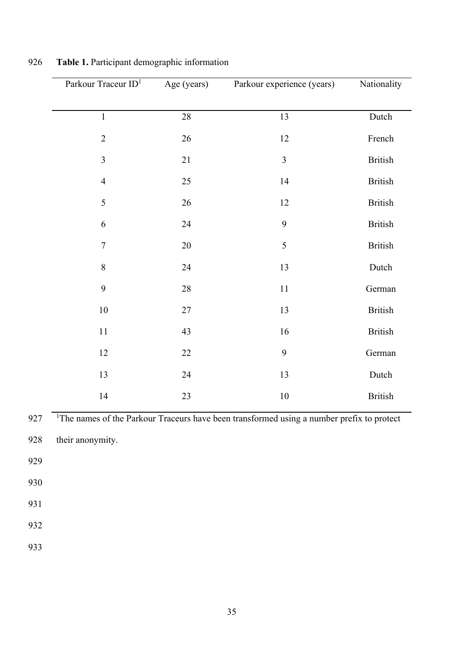| Parkour Traceur ID <sup>1</sup> | Age (years) | Parkour experience (years) | Nationality    |
|---------------------------------|-------------|----------------------------|----------------|
| $\mathbf{1}$                    | 28          | 13                         | Dutch          |
| $\overline{2}$                  | 26          | 12                         | French         |
| $\mathfrak{Z}$                  | 21          | $\overline{3}$             | <b>British</b> |
| $\overline{4}$                  | 25          | 14                         | <b>British</b> |
| 5                               | $26\,$      | 12                         | <b>British</b> |
| 6                               | $24\,$      | 9                          | <b>British</b> |
| $\boldsymbol{7}$                | $20\,$      | 5                          | <b>British</b> |
| 8                               | 24          | 13                         | Dutch          |
| 9                               | $28\,$      | 11                         | German         |
| $10\,$                          | $27\,$      | 13                         | <b>British</b> |
| 11                              | 43          | 16                         | <b>British</b> |
| 12                              | $22\,$      | 9                          | German         |
| 13                              | 24          | 13                         | Dutch          |
| 14                              | 23          | 10                         | <b>British</b> |

## **Table 1.** Participant demographic information

<sup>1</sup>The names of the Parkour Traceurs have been transformed using a number prefix to protect

their anonymity.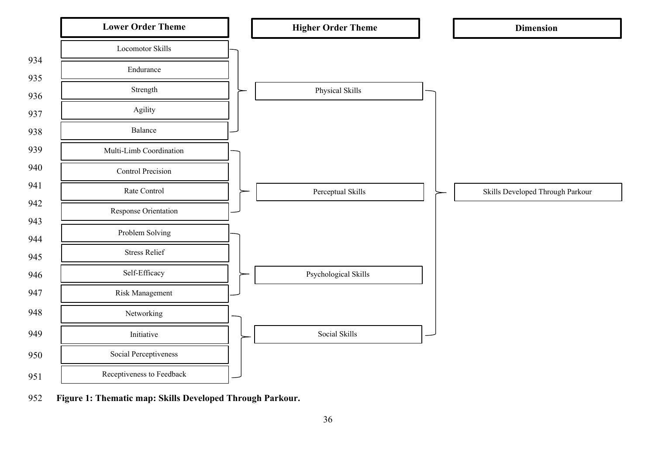